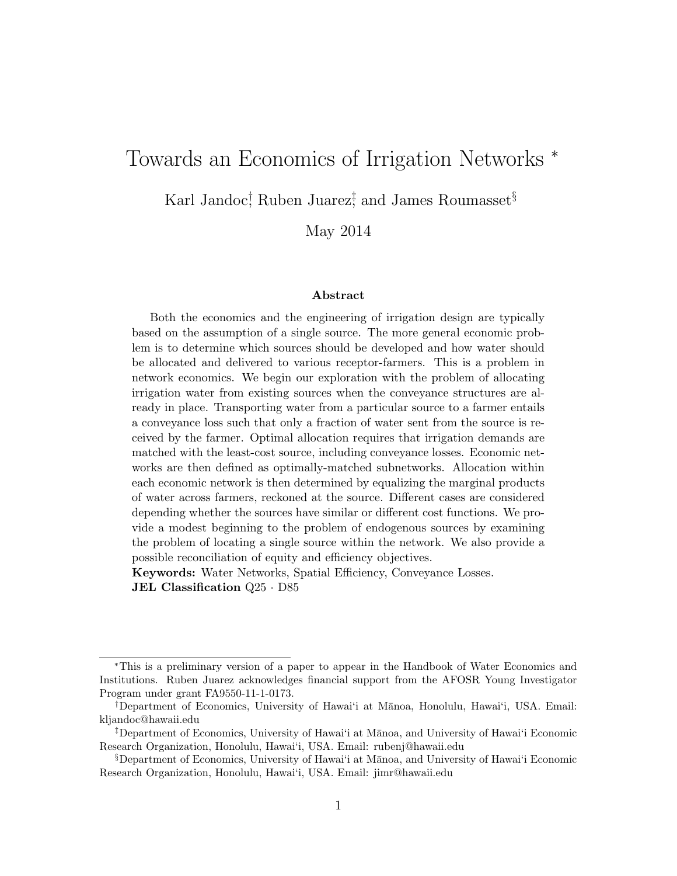# Towards an Economics of Irrigation Networks <sup>∗</sup>

Karl Jandoc<sup>†</sup>, Ruben Juarez<sup>‡</sup>, and James Roumasset<sup>§</sup>

May 2014

#### Abstract

Both the economics and the engineering of irrigation design are typically based on the assumption of a single source. The more general economic problem is to determine which sources should be developed and how water should be allocated and delivered to various receptor-farmers. This is a problem in network economics. We begin our exploration with the problem of allocating irrigation water from existing sources when the conveyance structures are already in place. Transporting water from a particular source to a farmer entails a conveyance loss such that only a fraction of water sent from the source is received by the farmer. Optimal allocation requires that irrigation demands are matched with the least-cost source, including conveyance losses. Economic networks are then defined as optimally-matched subnetworks. Allocation within each economic network is then determined by equalizing the marginal products of water across farmers, reckoned at the source. Different cases are considered depending whether the sources have similar or different cost functions. We provide a modest beginning to the problem of endogenous sources by examining the problem of locating a single source within the network. We also provide a possible reconciliation of equity and efficiency objectives.

Keywords: Water Networks, Spatial Efficiency, Conveyance Losses. JEL Classification Q25 · D85

<sup>∗</sup>This is a preliminary version of a paper to appear in the Handbook of Water Economics and Institutions. Ruben Juarez acknowledges financial support from the AFOSR Young Investigator Program under grant FA9550-11-1-0173.

<sup>†</sup>Department of Economics, University of Hawai'i at M¯anoa, Honolulu, Hawai'i, USA. Email: kljandoc@hawaii.edu

<sup>‡</sup>Department of Economics, University of Hawai'i at M¯anoa, and University of Hawai'i Economic Research Organization, Honolulu, Hawai'i, USA. Email: rubenj@hawaii.edu

<sup>§</sup>Department of Economics, University of Hawai'i at M¯anoa, and University of Hawai'i Economic Research Organization, Honolulu, Hawai'i, USA. Email: jimr@hawaii.edu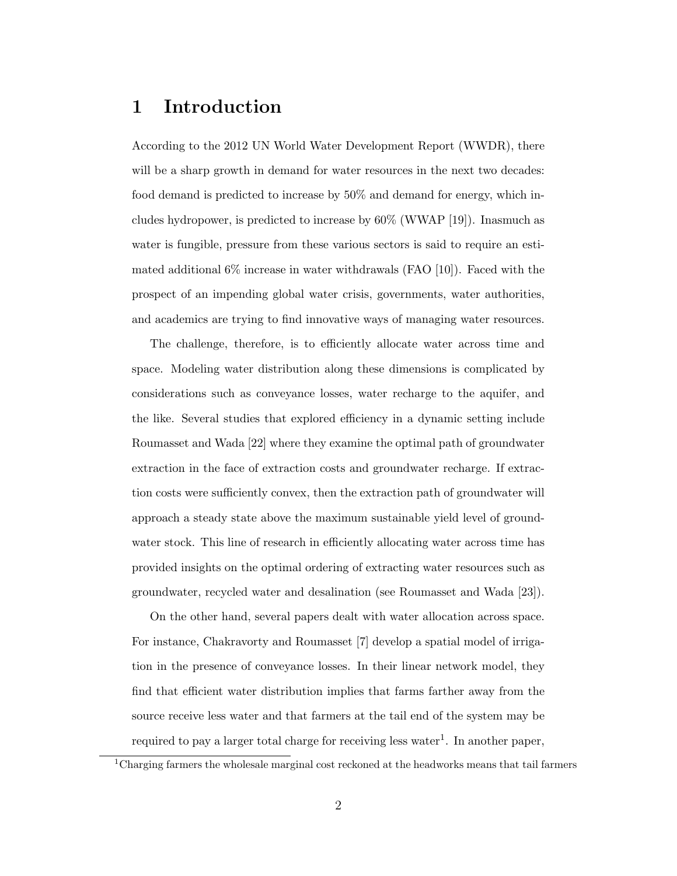### 1 Introduction

According to the 2012 UN World Water Development Report (WWDR), there will be a sharp growth in demand for water resources in the next two decades: food demand is predicted to increase by 50% and demand for energy, which includes hydropower, is predicted to increase by 60% (WWAP [19]). Inasmuch as water is fungible, pressure from these various sectors is said to require an estimated additional  $6\%$  increase in water withdrawals (FAO [10]). Faced with the prospect of an impending global water crisis, governments, water authorities, and academics are trying to find innovative ways of managing water resources.

The challenge, therefore, is to efficiently allocate water across time and space. Modeling water distribution along these dimensions is complicated by considerations such as conveyance losses, water recharge to the aquifer, and the like. Several studies that explored efficiency in a dynamic setting include Roumasset and Wada [22] where they examine the optimal path of groundwater extraction in the face of extraction costs and groundwater recharge. If extraction costs were sufficiently convex, then the extraction path of groundwater will approach a steady state above the maximum sustainable yield level of groundwater stock. This line of research in efficiently allocating water across time has provided insights on the optimal ordering of extracting water resources such as groundwater, recycled water and desalination (see Roumasset and Wada [23]).

On the other hand, several papers dealt with water allocation across space. For instance, Chakravorty and Roumasset [7] develop a spatial model of irrigation in the presence of conveyance losses. In their linear network model, they find that efficient water distribution implies that farms farther away from the source receive less water and that farmers at the tail end of the system may be required to pay a larger total charge for receiving less water<sup>1</sup>. In another paper,

<sup>&</sup>lt;sup>1</sup>Charging farmers the wholesale marginal cost reckoned at the headworks means that tail farmers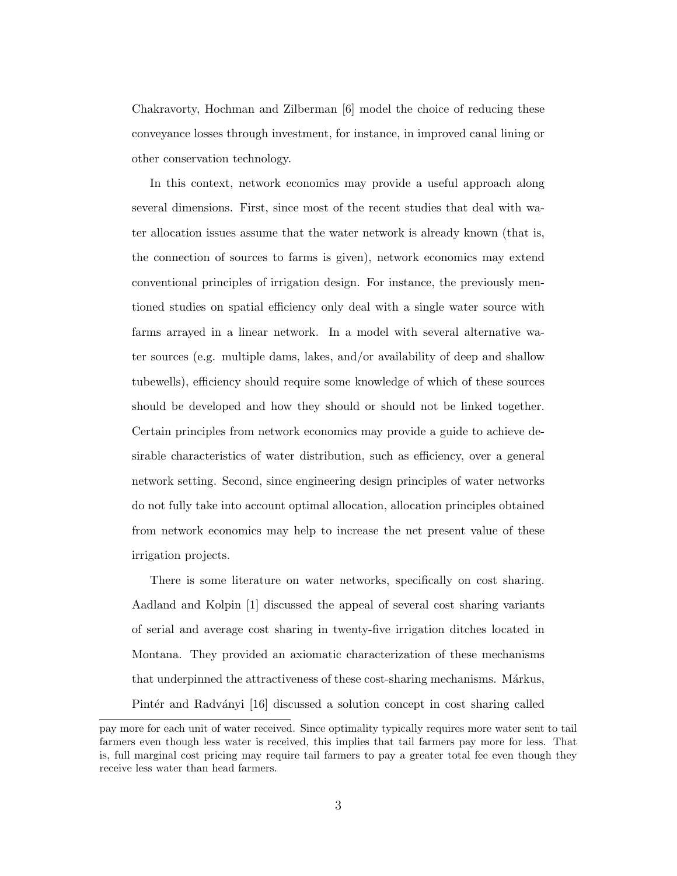Chakravorty, Hochman and Zilberman [6] model the choice of reducing these conveyance losses through investment, for instance, in improved canal lining or other conservation technology.

In this context, network economics may provide a useful approach along several dimensions. First, since most of the recent studies that deal with water allocation issues assume that the water network is already known (that is, the connection of sources to farms is given), network economics may extend conventional principles of irrigation design. For instance, the previously mentioned studies on spatial efficiency only deal with a single water source with farms arrayed in a linear network. In a model with several alternative water sources (e.g. multiple dams, lakes, and/or availability of deep and shallow tubewells), efficiency should require some knowledge of which of these sources should be developed and how they should or should not be linked together. Certain principles from network economics may provide a guide to achieve desirable characteristics of water distribution, such as efficiency, over a general network setting. Second, since engineering design principles of water networks do not fully take into account optimal allocation, allocation principles obtained from network economics may help to increase the net present value of these irrigation projects.

There is some literature on water networks, specifically on cost sharing. Aadland and Kolpin [1] discussed the appeal of several cost sharing variants of serial and average cost sharing in twenty-five irrigation ditches located in Montana. They provided an axiomatic characterization of these mechanisms that underpinned the attractiveness of these cost-sharing mechanisms. Márkus, Pintér and Radványi [16] discussed a solution concept in cost sharing called

pay more for each unit of water received. Since optimality typically requires more water sent to tail farmers even though less water is received, this implies that tail farmers pay more for less. That is, full marginal cost pricing may require tail farmers to pay a greater total fee even though they receive less water than head farmers.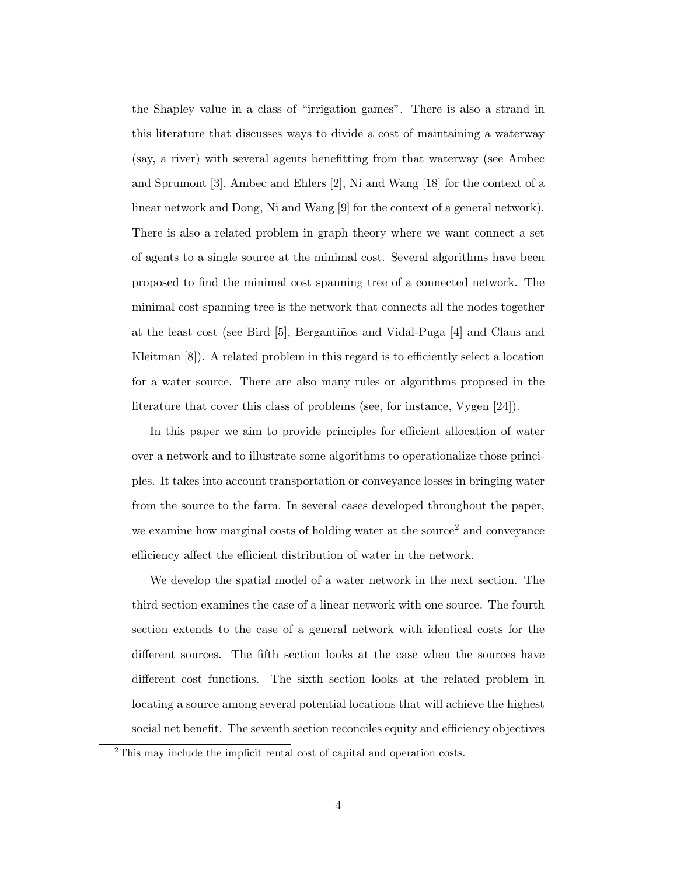the Shapley value in a class of "irrigation games". There is also a strand in this literature that discusses ways to divide a cost of maintaining a waterway (say, a river) with several agents benefitting from that waterway (see Ambec and Sprumont [3], Ambec and Ehlers [2], Ni and Wang [18] for the context of a linear network and Dong, Ni and Wang [9] for the context of a general network). There is also a related problem in graph theory where we want connect a set of agents to a single source at the minimal cost. Several algorithms have been proposed to find the minimal cost spanning tree of a connected network. The minimal cost spanning tree is the network that connects all the nodes together at the least cost (see Bird [5], Bergantiños and Vidal-Puga [4] and Claus and Kleitman [8]). A related problem in this regard is to efficiently select a location for a water source. There are also many rules or algorithms proposed in the literature that cover this class of problems (see, for instance, Vygen [24]).

In this paper we aim to provide principles for efficient allocation of water over a network and to illustrate some algorithms to operationalize those principles. It takes into account transportation or conveyance losses in bringing water from the source to the farm. In several cases developed throughout the paper, we examine how marginal costs of holding water at the source<sup>2</sup> and conveyance efficiency affect the efficient distribution of water in the network.

We develop the spatial model of a water network in the next section. The third section examines the case of a linear network with one source. The fourth section extends to the case of a general network with identical costs for the different sources. The fifth section looks at the case when the sources have different cost functions. The sixth section looks at the related problem in locating a source among several potential locations that will achieve the highest social net benefit. The seventh section reconciles equity and efficiency objectives

<sup>2</sup>This may include the implicit rental cost of capital and operation costs.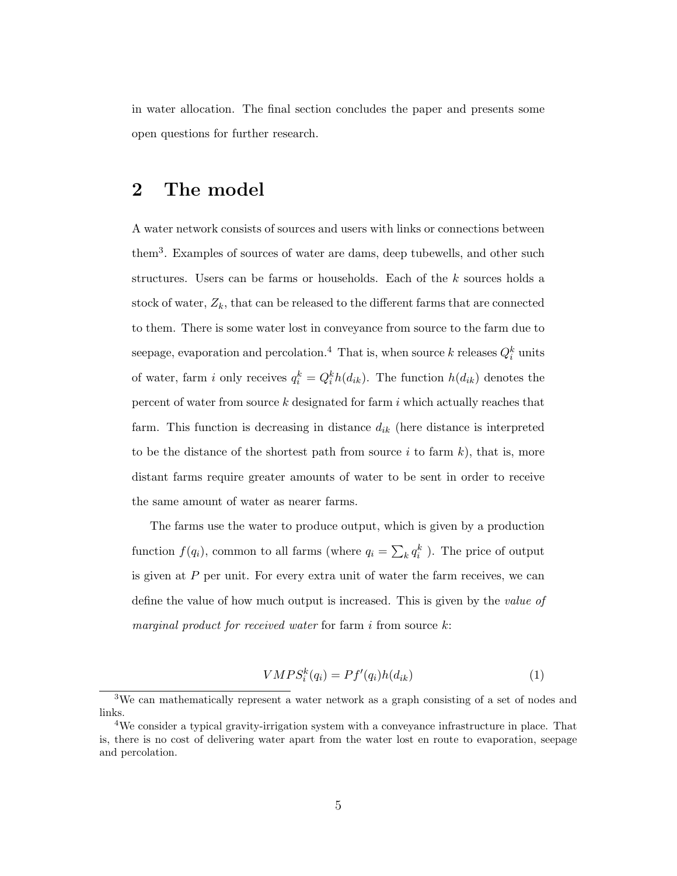in water allocation. The final section concludes the paper and presents some open questions for further research.

#### 2 The model

A water network consists of sources and users with links or connections between them<sup>3</sup>. Examples of sources of water are dams, deep tubewells, and other such structures. Users can be farms or households. Each of the k sources holds a stock of water,  $Z_k$ , that can be released to the different farms that are connected to them. There is some water lost in conveyance from source to the farm due to seepage, evaporation and percolation.<sup>4</sup> That is, when source k releases  $Q_i^k$  units of water, farm *i* only receives  $q_i^k = Q_i^k h(d_{ik})$ . The function  $h(d_{ik})$  denotes the percent of water from source  $k$  designated for farm i which actually reaches that farm. This function is decreasing in distance  $d_{ik}$  (here distance is interpreted to be the distance of the shortest path from source i to farm  $k$ ), that is, more distant farms require greater amounts of water to be sent in order to receive the same amount of water as nearer farms.

The farms use the water to produce output, which is given by a production function  $f(q_i)$ , common to all farms (where  $q_i = \sum_k q_i^k$ ). The price of output is given at  $P$  per unit. For every extra unit of water the farm receives, we can define the value of how much output is increased. This is given by the value of marginal product for received water for farm  $i$  from source  $k$ :

$$
VMPS_i^k(q_i) = Pf'(q_i)h(d_{ik})
$$
\n<sup>(1)</sup>

<sup>3</sup>We can mathematically represent a water network as a graph consisting of a set of nodes and links.

<sup>4</sup>We consider a typical gravity-irrigation system with a conveyance infrastructure in place. That is, there is no cost of delivering water apart from the water lost en route to evaporation, seepage and percolation.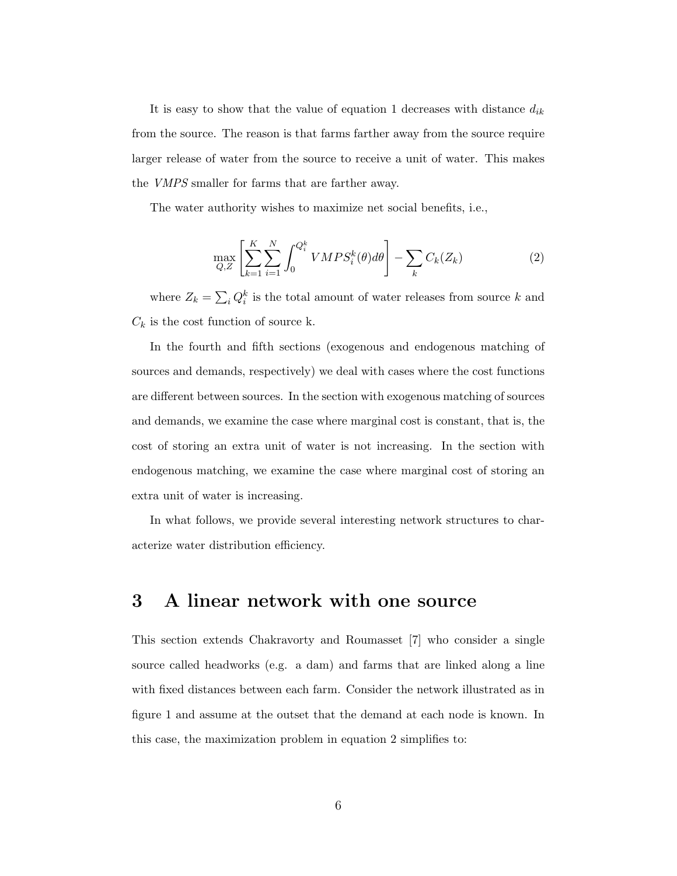It is easy to show that the value of equation 1 decreases with distance  $d_{ik}$ from the source. The reason is that farms farther away from the source require larger release of water from the source to receive a unit of water. This makes the VMPS smaller for farms that are farther away.

The water authority wishes to maximize net social benefits, i.e.,

$$
\max_{Q,Z} \left[ \sum_{k=1}^K \sum_{i=1}^N \int_0^{Q_i^k} VMPS_i^k(\theta) d\theta \right] - \sum_k C_k(Z_k)
$$
 (2)

where  $Z_k = \sum_i Q_i^k$  is the total amount of water releases from source k and  $C_k$  is the cost function of source k.

In the fourth and fifth sections (exogenous and endogenous matching of sources and demands, respectively) we deal with cases where the cost functions are different between sources. In the section with exogenous matching of sources and demands, we examine the case where marginal cost is constant, that is, the cost of storing an extra unit of water is not increasing. In the section with endogenous matching, we examine the case where marginal cost of storing an extra unit of water is increasing.

In what follows, we provide several interesting network structures to characterize water distribution efficiency.

#### 3 A linear network with one source

This section extends Chakravorty and Roumasset [7] who consider a single source called headworks (e.g. a dam) and farms that are linked along a line with fixed distances between each farm. Consider the network illustrated as in figure 1 and assume at the outset that the demand at each node is known. In this case, the maximization problem in equation 2 simplifies to: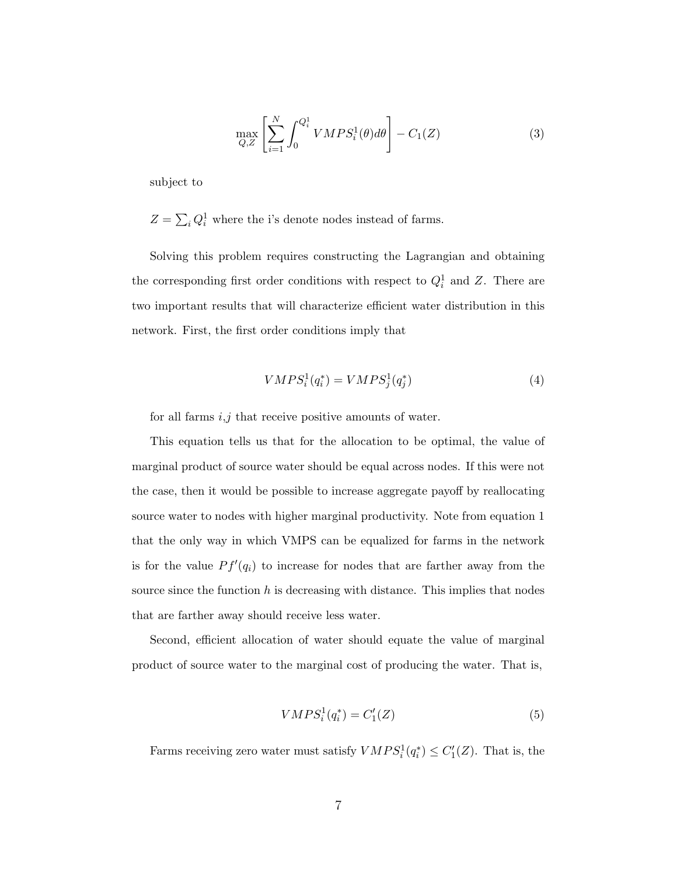$$
\max_{Q,Z} \left[ \sum_{i=1}^N \int_0^{Q_i^1} VMPS_i^1(\theta) d\theta \right] - C_1(Z) \tag{3}
$$

subject to

 $Z = \sum_i Q_i^1$  where the i's denote nodes instead of farms.

Solving this problem requires constructing the Lagrangian and obtaining the corresponding first order conditions with respect to  $Q_i^1$  and Z. There are two important results that will characterize efficient water distribution in this network. First, the first order conditions imply that

$$
VMPS_i^1(q_i^*) = VMPS_j^1(q_j^*)
$$
\n
$$
\tag{4}
$$

for all farms  $i, j$  that receive positive amounts of water.

This equation tells us that for the allocation to be optimal, the value of marginal product of source water should be equal across nodes. If this were not the case, then it would be possible to increase aggregate payoff by reallocating source water to nodes with higher marginal productivity. Note from equation 1 that the only way in which VMPS can be equalized for farms in the network is for the value  $Pf'(q_i)$  to increase for nodes that are farther away from the source since the function  $h$  is decreasing with distance. This implies that nodes that are farther away should receive less water.

Second, efficient allocation of water should equate the value of marginal product of source water to the marginal cost of producing the water. That is,

$$
VMPS_i^1(q_i^*) = C_1'(Z)
$$
\n(5)

Farms receiving zero water must satisfy  $VMPS_i^1(q_i^*) \leq C'_1(Z)$ . That is, the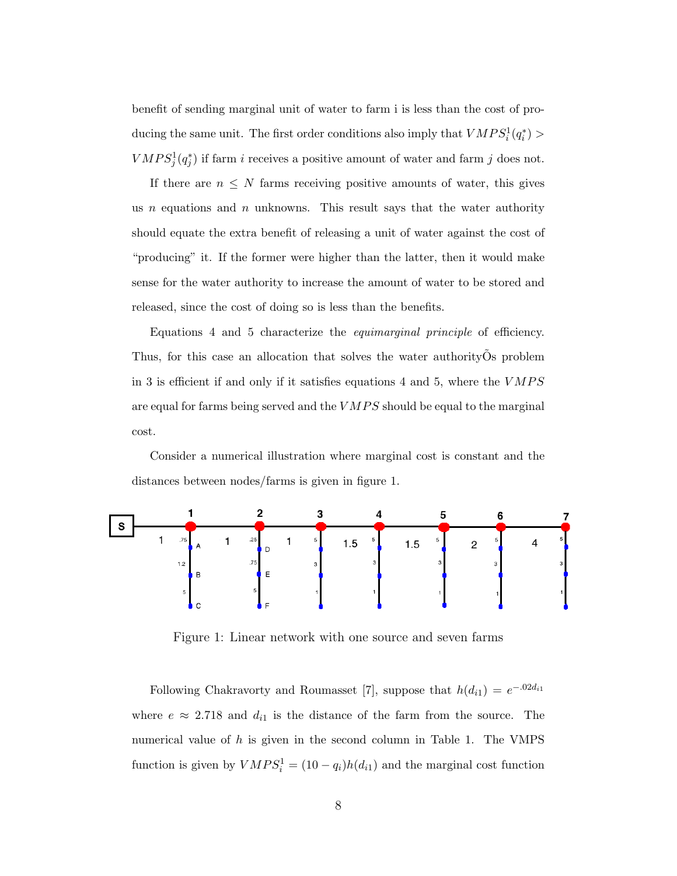benefit of sending marginal unit of water to farm i is less than the cost of producing the same unit. The first order conditions also imply that  $VMPS_i^1(q_i^*)$  $VMPS_j^1(q_j^*)$  if farm i receives a positive amount of water and farm j does not.

If there are  $n \leq N$  farms receiving positive amounts of water, this gives us  $n$  equations and  $n$  unknowns. This result says that the water authority should equate the extra benefit of releasing a unit of water against the cost of "producing" it. If the former were higher than the latter, then it would make sense for the water authority to increase the amount of water to be stored and released, since the cost of doing so is less than the benefits.

Equations 4 and 5 characterize the equimarginal principle of efficiency. Thus, for this case an allocation that solves the water authorityOs problem in 3 is efficient if and only if it satisfies equations 4 and 5, where the  $VMPS$ are equal for farms being served and the  $VMPS$  should be equal to the marginal cost.

Consider a numerical illustration where marginal cost is constant and the distances between nodes/farms is given in figure 1.



Figure 1: Linear network with one source and seven farms

Following Chakravorty and Roumasset [7], suppose that  $h(d_{i1}) = e^{-0.02d_{i1}}$ where  $e \approx 2.718$  and  $d_{i1}$  is the distance of the farm from the source. The numerical value of  $h$  is given in the second column in Table 1. The VMPS function is given by  $VMPS_i^1 = (10 - q_i)h(d_{i1})$  and the marginal cost function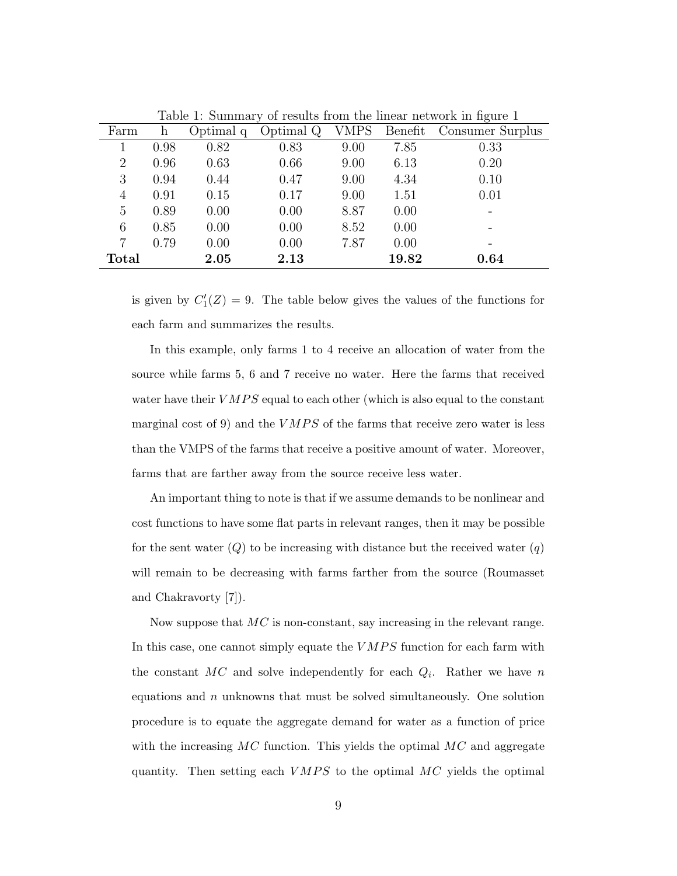| Farm           | h    | Optimal q | $\cdot$<br>Optimal Q | <b>VMPS</b> | Benefit | ◡<br>Consumer Surplus |
|----------------|------|-----------|----------------------|-------------|---------|-----------------------|
|                | 0.98 | 0.82      | 0.83                 | 9.00        | 7.85    | 0.33                  |
| 2              | 0.96 | 0.63      | 0.66                 | 9.00        | 6.13    | 0.20                  |
| 3              | 0.94 | 0.44      | 0.47                 | 9.00        | 4.34    | 0.10                  |
| 4              | 0.91 | 0.15      | 0.17                 | 9.00        | 1.51    | 0.01                  |
| 5              | 0.89 | 0.00      | 0.00                 | 8.87        | 0.00    |                       |
| 6              | 0.85 | 0.00      | 0.00                 | 8.52        | 0.00    |                       |
| $\overline{7}$ | 0.79 | 0.00      | 0.00                 | 7.87        | 0.00    |                       |
| <b>Total</b>   |      | 2.05      | 2.13                 |             | 19.82   | 0.64                  |

Table 1: Summary of results from the linear network in figure 1

is given by  $C'_{1}(Z) = 9$ . The table below gives the values of the functions for each farm and summarizes the results.

In this example, only farms 1 to 4 receive an allocation of water from the source while farms 5, 6 and 7 receive no water. Here the farms that received water have their  $VMPS$  equal to each other (which is also equal to the constant marginal cost of 9) and the  $VMPS$  of the farms that receive zero water is less than the VMPS of the farms that receive a positive amount of water. Moreover, farms that are farther away from the source receive less water.

An important thing to note is that if we assume demands to be nonlinear and cost functions to have some flat parts in relevant ranges, then it may be possible for the sent water  $(Q)$  to be increasing with distance but the received water  $(q)$ will remain to be decreasing with farms farther from the source (Roumasset and Chakravorty [7]).

Now suppose that MC is non-constant, say increasing in the relevant range. In this case, one cannot simply equate the  $VMPS$  function for each farm with the constant  $MC$  and solve independently for each  $Q_i$ . Rather we have n equations and  $n$  unknowns that must be solved simultaneously. One solution procedure is to equate the aggregate demand for water as a function of price with the increasing  $MC$  function. This yields the optimal  $MC$  and aggregate quantity. Then setting each  $VMPS$  to the optimal  $MC$  yields the optimal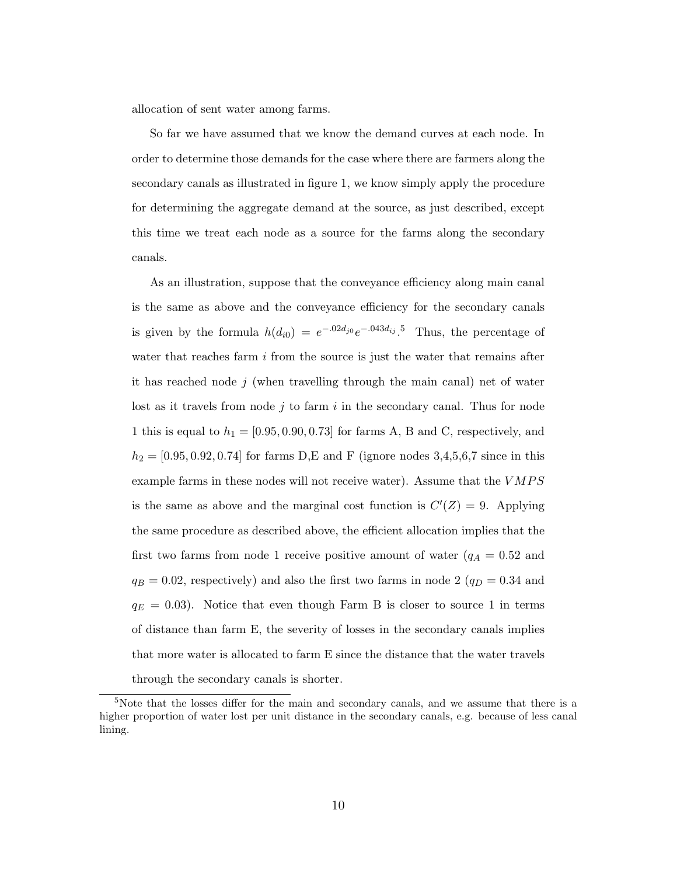allocation of sent water among farms.

So far we have assumed that we know the demand curves at each node. In order to determine those demands for the case where there are farmers along the secondary canals as illustrated in figure 1, we know simply apply the procedure for determining the aggregate demand at the source, as just described, except this time we treat each node as a source for the farms along the secondary canals.

As an illustration, suppose that the conveyance efficiency along main canal is the same as above and the conveyance efficiency for the secondary canals is given by the formula  $h(d_{i0}) = e^{-0.02d_{i0}}e^{-0.043d_{i,j}}$ .<sup>5</sup> Thus, the percentage of water that reaches farm  $i$  from the source is just the water that remains after it has reached node  $j$  (when travelling through the main canal) net of water lost as it travels from node  $j$  to farm  $i$  in the secondary canal. Thus for node 1 this is equal to  $h_1 = [0.95, 0.90, 0.73]$  for farms A, B and C, respectively, and  $h_2 = [0.95, 0.92, 0.74]$  for farms D, E and F (ignore nodes 3,4,5,6,7 since in this example farms in these nodes will not receive water). Assume that the  $VMPS$ is the same as above and the marginal cost function is  $C'(Z) = 9$ . Applying the same procedure as described above, the efficient allocation implies that the first two farms from node 1 receive positive amount of water  $(q_A = 0.52$  and  $q_B = 0.02$ , respectively) and also the first two farms in node 2 ( $q_D = 0.34$  and  $q_E = 0.03$ . Notice that even though Farm B is closer to source 1 in terms of distance than farm E, the severity of losses in the secondary canals implies that more water is allocated to farm E since the distance that the water travels through the secondary canals is shorter.

 $5$ Note that the losses differ for the main and secondary canals, and we assume that there is a higher proportion of water lost per unit distance in the secondary canals, e.g. because of less canal lining.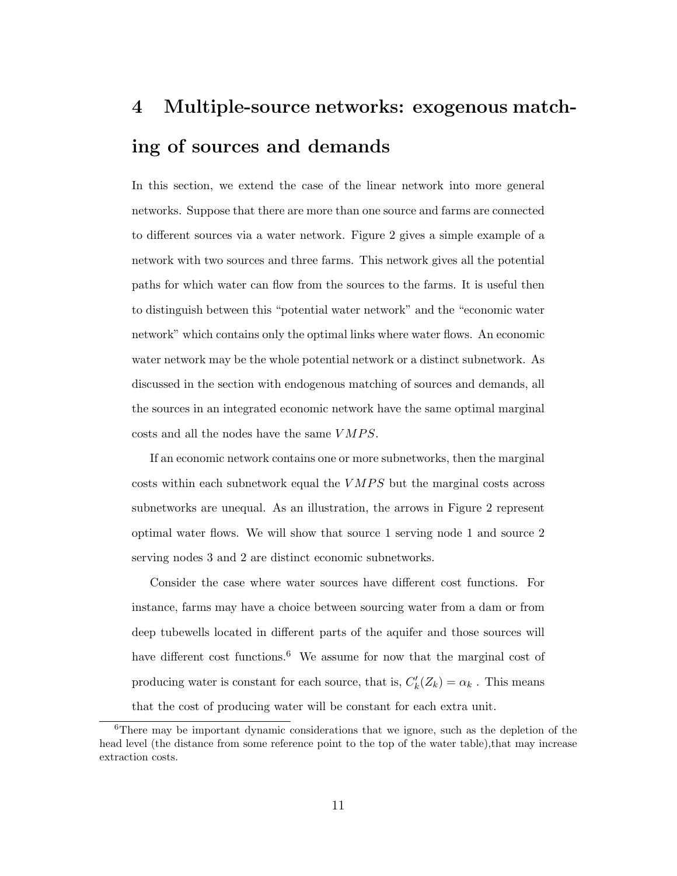# 4 Multiple-source networks: exogenous matching of sources and demands

In this section, we extend the case of the linear network into more general networks. Suppose that there are more than one source and farms are connected to different sources via a water network. Figure 2 gives a simple example of a network with two sources and three farms. This network gives all the potential paths for which water can flow from the sources to the farms. It is useful then to distinguish between this "potential water network" and the "economic water network" which contains only the optimal links where water flows. An economic water network may be the whole potential network or a distinct subnetwork. As discussed in the section with endogenous matching of sources and demands, all the sources in an integrated economic network have the same optimal marginal costs and all the nodes have the same  $VMPS$ .

If an economic network contains one or more subnetworks, then the marginal costs within each subnetwork equal the  $VMPS$  but the marginal costs across subnetworks are unequal. As an illustration, the arrows in Figure 2 represent optimal water flows. We will show that source 1 serving node 1 and source 2 serving nodes 3 and 2 are distinct economic subnetworks.

Consider the case where water sources have different cost functions. For instance, farms may have a choice between sourcing water from a dam or from deep tubewells located in different parts of the aquifer and those sources will have different cost functions.<sup>6</sup> We assume for now that the marginal cost of producing water is constant for each source, that is,  $C'_{k}(Z_{k}) = \alpha_{k}$ . This means that the cost of producing water will be constant for each extra unit.

<sup>6</sup>There may be important dynamic considerations that we ignore, such as the depletion of the head level (the distance from some reference point to the top of the water table), that may increase extraction costs.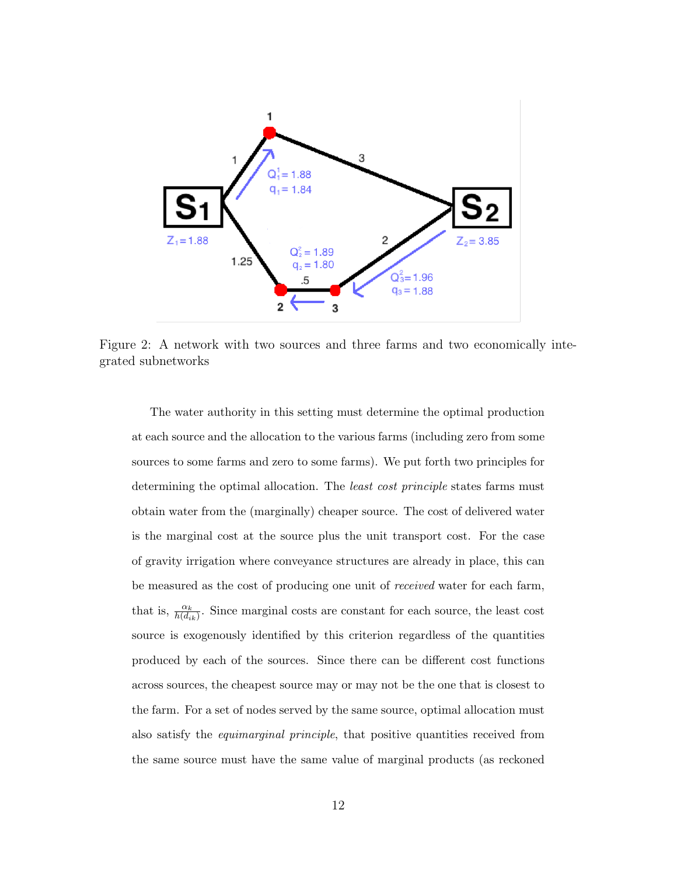

Figure 2: A network with two sources and three farms and two economically integrated subnetworks

The water authority in this setting must determine the optimal production at each source and the allocation to the various farms (including zero from some sources to some farms and zero to some farms). We put forth two principles for determining the optimal allocation. The *least cost principle* states farms must obtain water from the (marginally) cheaper source. The cost of delivered water is the marginal cost at the source plus the unit transport cost. For the case of gravity irrigation where conveyance structures are already in place, this can be measured as the cost of producing one unit of received water for each farm, that is,  $\frac{\alpha_k}{h(d_{ik})}$ . Since marginal costs are constant for each source, the least cost source is exogenously identified by this criterion regardless of the quantities produced by each of the sources. Since there can be different cost functions across sources, the cheapest source may or may not be the one that is closest to the farm. For a set of nodes served by the same source, optimal allocation must also satisfy the equimarginal principle, that positive quantities received from the same source must have the same value of marginal products (as reckoned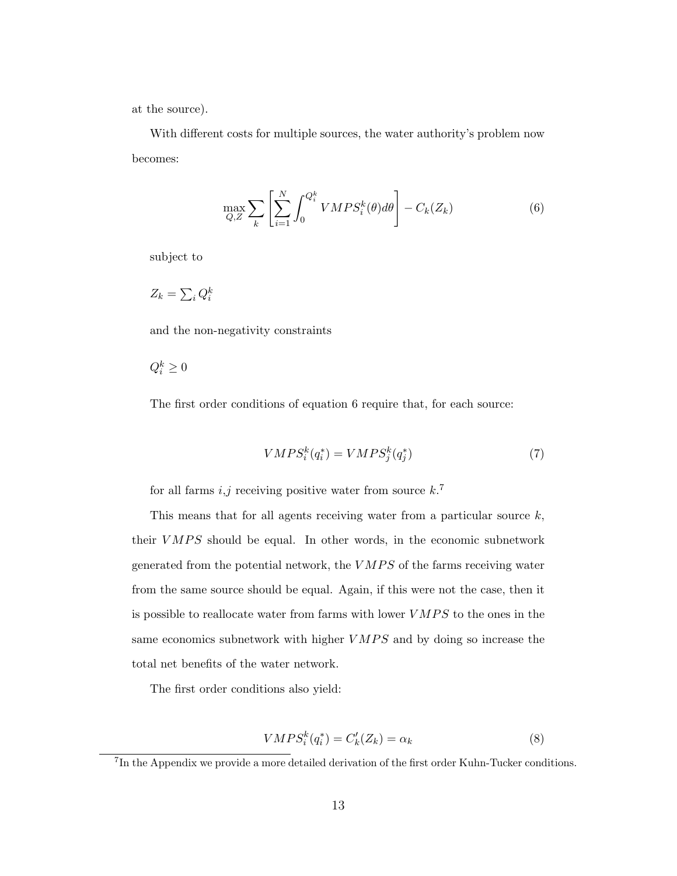at the source).

With different costs for multiple sources, the water authority's problem now becomes:

$$
\max_{Q,Z} \sum_{k} \left[ \sum_{i=1}^{N} \int_{0}^{Q_i^k} VMPS_i^k(\theta) d\theta \right] - C_k(Z_k)
$$
\n(6)

subject to

$$
Z_k = \textstyle\sum_i Q_i^k
$$

and the non-negativity constraints

 $Q_i^k \geq 0$ 

The first order conditions of equation 6 require that, for each source:

$$
VMPS_i^k(q_i^*) = VMPS_j^k(q_j^*)
$$
\n<sup>(7)</sup>

for all farms  $i, j$  receiving positive water from source  $k$ .<sup>7</sup>

This means that for all agents receiving water from a particular source k, their  $VMPS$  should be equal. In other words, in the economic subnetwork generated from the potential network, the  $VMPS$  of the farms receiving water from the same source should be equal. Again, if this were not the case, then it is possible to reallocate water from farms with lower  $VMPS$  to the ones in the same economics subnetwork with higher  $VMPS$  and by doing so increase the total net benefits of the water network.

The first order conditions also yield:

$$
VMPS_i^k(q_i^*) = C_k'(Z_k) = \alpha_k \tag{8}
$$

<sup>&</sup>lt;sup>7</sup>In the Appendix we provide a more detailed derivation of the first order Kuhn-Tucker conditions.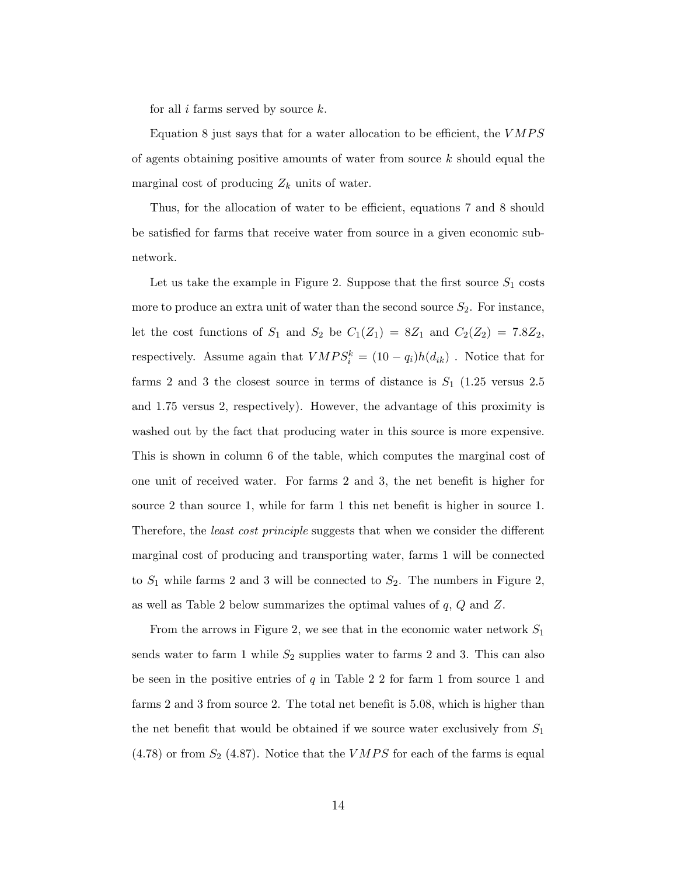for all i farms served by source  $k$ .

Equation 8 just says that for a water allocation to be efficient, the  $VMPS$ of agents obtaining positive amounts of water from source  $k$  should equal the marginal cost of producing  $Z_k$  units of water.

Thus, for the allocation of water to be efficient, equations 7 and 8 should be satisfied for farms that receive water from source in a given economic subnetwork.

Let us take the example in Figure 2. Suppose that the first source  $S_1$  costs more to produce an extra unit of water than the second source  $S_2$ . For instance, let the cost functions of  $S_1$  and  $S_2$  be  $C_1(Z_1) = 8Z_1$  and  $C_2(Z_2) = 7.8Z_2$ , respectively. Assume again that  $VMPS_i^k = (10 - q_i)h(d_{ik})$ . Notice that for farms 2 and 3 the closest source in terms of distance is  $S_1$  (1.25 versus 2.5 and 1.75 versus 2, respectively). However, the advantage of this proximity is washed out by the fact that producing water in this source is more expensive. This is shown in column 6 of the table, which computes the marginal cost of one unit of received water. For farms 2 and 3, the net benefit is higher for source 2 than source 1, while for farm 1 this net benefit is higher in source 1. Therefore, the *least cost principle* suggests that when we consider the different marginal cost of producing and transporting water, farms 1 will be connected to  $S_1$  while farms 2 and 3 will be connected to  $S_2$ . The numbers in Figure 2, as well as Table 2 below summarizes the optimal values of  $q$ ,  $Q$  and  $Z$ .

From the arrows in Figure 2, we see that in the economic water network  $S_1$ sends water to farm 1 while  $S_2$  supplies water to farms 2 and 3. This can also be seen in the positive entries of  $q$  in Table 2 2 for farm 1 from source 1 and farms 2 and 3 from source 2. The total net benefit is 5.08, which is higher than the net benefit that would be obtained if we source water exclusively from  $S_1$  $(4.78)$  or from  $S_2$  (4.87). Notice that the VMPS for each of the farms is equal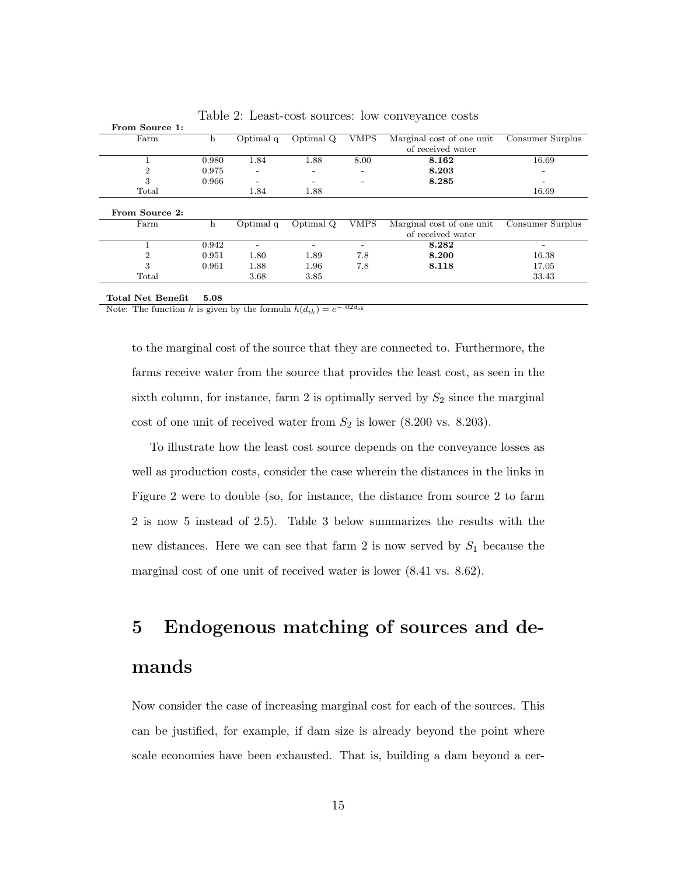| From Source 1: |       |                          |           |                          |                           |                          |
|----------------|-------|--------------------------|-----------|--------------------------|---------------------------|--------------------------|
| Farm           | h     | Optimal q                | Optimal Q | <b>VMPS</b>              | Marginal cost of one unit | Consumer Surplus         |
|                |       |                          |           |                          | of received water         |                          |
|                | 0.980 | 1.84                     | 1.88      | 8.00                     | 8.162                     | 16.69                    |
| 2              | 0.975 | $\overline{\phantom{0}}$ |           | $\overline{\phantom{a}}$ | 8.203                     | $\overline{\phantom{0}}$ |
| 3              | 0.966 |                          |           | $\overline{\phantom{a}}$ | 8.285                     |                          |
| Total          |       | 1.84                     | 1.88      |                          |                           | 16.69                    |
| From Source 2: |       |                          |           |                          |                           |                          |
| Farm           | h     | Optimal q                | Optimal Q | <b>VMPS</b>              | Marginal cost of one unit | Consumer Surplus         |
|                |       |                          |           |                          | of received water         |                          |
|                | 0.942 |                          |           | -                        | 8.282                     |                          |
| $\overline{2}$ | 0.951 | 1.80                     | 1.89      | 7.8                      | 8.200                     | 16.38                    |
| 3              | 0.961 | 1.88                     | 1.96      | 7.8                      | 8.118                     | 17.05                    |
| Total          |       | 3.68                     | 3.85      |                          |                           | 33.43                    |
|                |       |                          |           |                          |                           |                          |

Table 2: Least-cost sources: low conveyance costs

Total Net Benefit 5.08

Note: The function h is given by the formula  $h(d_{ik}) = e^{-0.02d_{ik}}$ 

to the marginal cost of the source that they are connected to. Furthermore, the farms receive water from the source that provides the least cost, as seen in the sixth column, for instance, farm 2 is optimally served by  $S_2$  since the marginal cost of one unit of received water from  $S_2$  is lower (8.200 vs. 8.203).

To illustrate how the least cost source depends on the conveyance losses as well as production costs, consider the case wherein the distances in the links in Figure 2 were to double (so, for instance, the distance from source 2 to farm 2 is now 5 instead of 2.5). Table 3 below summarizes the results with the new distances. Here we can see that farm 2 is now served by  $S_1$  because the marginal cost of one unit of received water is lower (8.41 vs. 8.62).

# 5 Endogenous matching of sources and demands

Now consider the case of increasing marginal cost for each of the sources. This can be justified, for example, if dam size is already beyond the point where scale economies have been exhausted. That is, building a dam beyond a cer-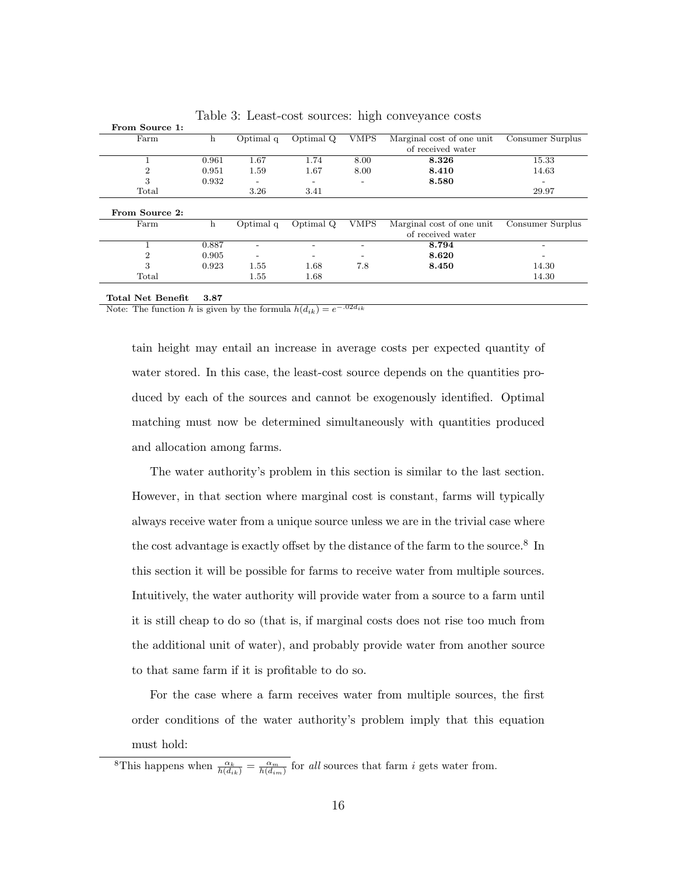| From Source 1: |       |           |           |                          |                           |                  |
|----------------|-------|-----------|-----------|--------------------------|---------------------------|------------------|
| Farm           | h     | Optimal q | Optimal Q | <b>VMPS</b>              | Marginal cost of one unit | Consumer Surplus |
|                |       |           |           |                          | of received water         |                  |
|                | 0.961 | 1.67      | 1.74      | 8.00                     | 8.326                     | 15.33            |
| 2              | 0.951 | 1.59      | 1.67      | 8.00                     | 8.410                     | 14.63            |
| 3              | 0.932 |           |           |                          | 8.580                     |                  |
| Total          |       | 3.26      | 3.41      |                          |                           | 29.97            |
| From Source 2: |       |           |           |                          |                           |                  |
| Farm           | h     | Optimal q | Optimal Q | <b>VMPS</b>              | Marginal cost of one unit | Consumer Surplus |
|                |       |           |           |                          | of received water         |                  |
|                | 0.887 |           |           | $\overline{\phantom{a}}$ | 8.794                     |                  |
| 2              | 0.905 |           |           |                          | 8.620                     |                  |
| 3              | 0.923 | 1.55      | 1.68      | 7.8                      | 8.450                     | 14.30            |
| Total          |       | 1.55      | 1.68      |                          |                           | 14.30            |
|                |       |           |           |                          |                           |                  |

Table 3: Least-cost sources: high conveyance costs

Total Net Benefit 3.87

Note: The function h is given by the formula  $h(d_{ik}) = e^{-0.02d_{ik}}$ 

tain height may entail an increase in average costs per expected quantity of water stored. In this case, the least-cost source depends on the quantities produced by each of the sources and cannot be exogenously identified. Optimal matching must now be determined simultaneously with quantities produced and allocation among farms.

The water authority's problem in this section is similar to the last section. However, in that section where marginal cost is constant, farms will typically always receive water from a unique source unless we are in the trivial case where the cost advantage is exactly offset by the distance of the farm to the source.<sup>8</sup> In this section it will be possible for farms to receive water from multiple sources. Intuitively, the water authority will provide water from a source to a farm until it is still cheap to do so (that is, if marginal costs does not rise too much from the additional unit of water), and probably provide water from another source to that same farm if it is profitable to do so.

For the case where a farm receives water from multiple sources, the first order conditions of the water authority's problem imply that this equation must hold:

<sup>&</sup>lt;sup>8</sup>This happens when  $\frac{\alpha_k}{h(d_{ik})} = \frac{\alpha_m}{h(d_{im})}$  for all sources that farm i gets water from.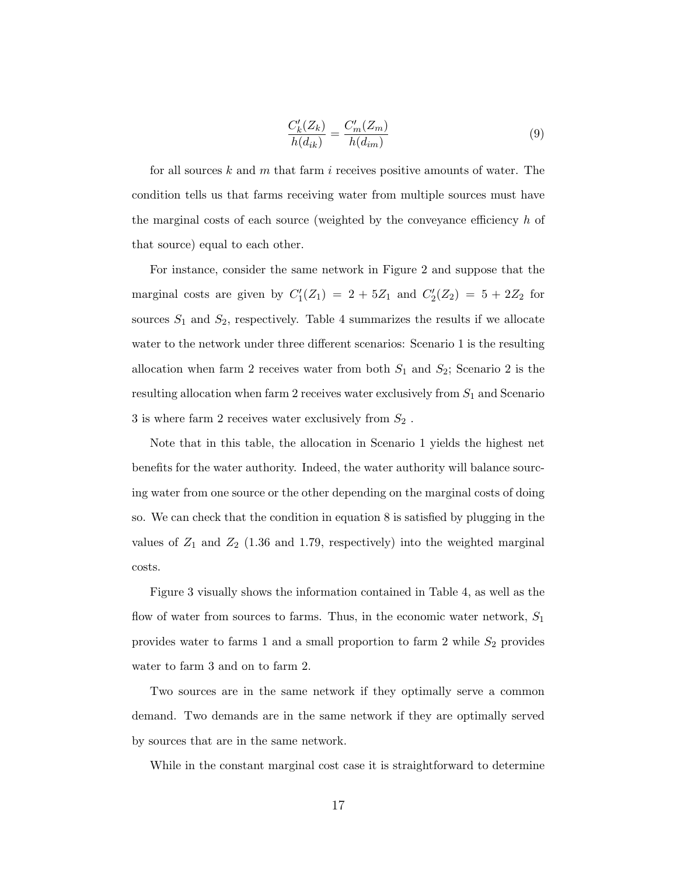$$
\frac{C'_k(Z_k)}{h(d_{ik})} = \frac{C'_m(Z_m)}{h(d_{im})}
$$
\n
$$
(9)
$$

for all sources  $k$  and  $m$  that farm  $i$  receives positive amounts of water. The condition tells us that farms receiving water from multiple sources must have the marginal costs of each source (weighted by the conveyance efficiency  $h$  of that source) equal to each other.

For instance, consider the same network in Figure 2 and suppose that the marginal costs are given by  $C'_1(Z_1) = 2 + 5Z_1$  and  $C'_2(Z_2) = 5 + 2Z_2$  for sources  $S_1$  and  $S_2$ , respectively. Table 4 summarizes the results if we allocate water to the network under three different scenarios: Scenario 1 is the resulting allocation when farm 2 receives water from both  $S_1$  and  $S_2$ ; Scenario 2 is the resulting allocation when farm 2 receives water exclusively from  $S_1$  and Scenario 3 is where farm 2 receives water exclusively from  $S_2$ .

Note that in this table, the allocation in Scenario 1 yields the highest net benefits for the water authority. Indeed, the water authority will balance sourcing water from one source or the other depending on the marginal costs of doing so. We can check that the condition in equation 8 is satisfied by plugging in the values of  $Z_1$  and  $Z_2$  (1.36 and 1.79, respectively) into the weighted marginal costs.

Figure 3 visually shows the information contained in Table 4, as well as the flow of water from sources to farms. Thus, in the economic water network,  $S_1$ provides water to farms 1 and a small proportion to farm 2 while  $S_2$  provides water to farm 3 and on to farm 2.

Two sources are in the same network if they optimally serve a common demand. Two demands are in the same network if they are optimally served by sources that are in the same network.

While in the constant marginal cost case it is straightforward to determine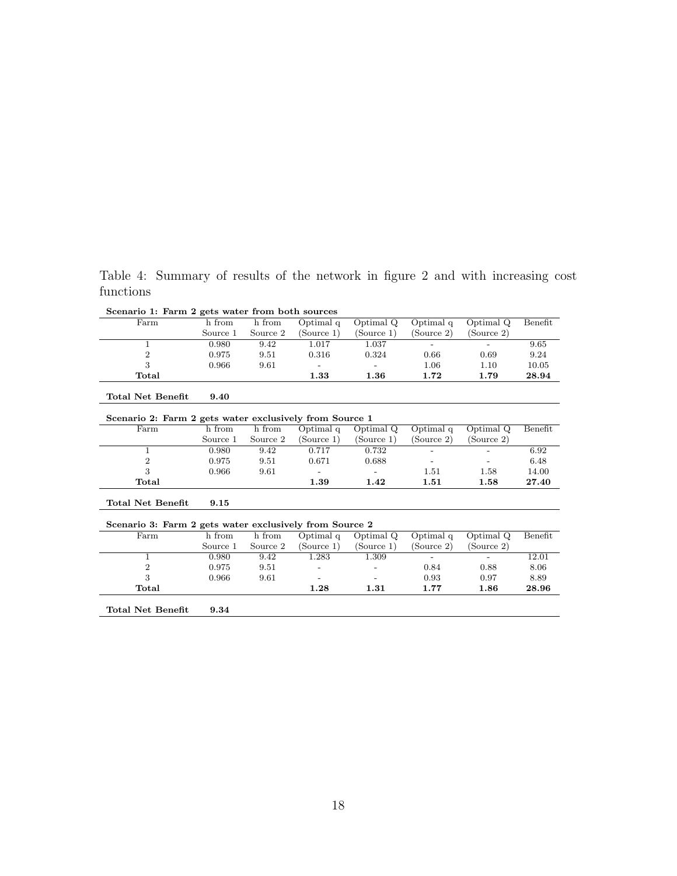Table 4: Summary of results of the network in figure 2 and with increasing cost functions

| Scenario 1: Farm 2 gets water from both sources         |                     |          |                |                               |            |            |         |  |  |
|---------------------------------------------------------|---------------------|----------|----------------|-------------------------------|------------|------------|---------|--|--|
| Farm                                                    | $\overline{h}$ from | h from   | Optimal q      | $\overline{\text{Optimal}}$ Q | Optimal q  | Optimal Q  | Benefit |  |  |
|                                                         | Source 1            | Source 2 | (Source 1)     | (Source 1)                    | (Source 2) | (Source 2) |         |  |  |
| 1                                                       | 0.980               | 9.42     | 1.017          | 1.037                         |            |            | 9.65    |  |  |
| $\boldsymbol{2}$                                        | 0.975               | 9.51     | 0.316          | 0.324                         | 0.66       | 0.69       | 9.24    |  |  |
| 3                                                       | 0.966               | 9.61     |                |                               | 1.06       | 1.10       | 10.05   |  |  |
| Total                                                   |                     |          | 1.33           | 1.36                          | 1.72       | 1.79       | 28.94   |  |  |
| <b>Total Net Benefit</b>                                | 9.40                |          |                |                               |            |            |         |  |  |
| Scenario 2: Farm 2 gets water exclusively from Source 1 |                     |          |                |                               |            |            |         |  |  |
| Farm                                                    | h from              | h from   | Optimal q      | Optimal Q                     | Optimal q  | Optimal Q  | Benefit |  |  |
|                                                         | Source 1            | Source 2 | (Source 1)     | (Source 1)                    | (Source 2) | (Source 2) |         |  |  |
| $\mathbf{1}$                                            | 0.980               | 9.42     | 0.717          | 0.732                         |            |            | 6.92    |  |  |
| $\overline{2}$                                          | 0.975               | 9.51     | 0.671          | 0.688                         |            |            | 6.48    |  |  |
| 3                                                       | 0.966               | 9.61     | $\overline{a}$ |                               | 1.51       | 1.58       | 14.00   |  |  |
| Total                                                   |                     |          | 1.39           | 1.42                          | 1.51       | 1.58       | 27.40   |  |  |
| <b>Total Net Benefit</b>                                | 9.15                |          |                |                               |            |            |         |  |  |
| Scenario 3: Farm 2 gets water exclusively from Source 2 |                     |          |                |                               |            |            |         |  |  |
| Farm                                                    | $\overline{h}$ from | h from   | Optimal q      | Optimal Q                     | Optimal q  | Optimal Q  | Benefit |  |  |
|                                                         | Source 1            | Source 2 | (Source 1)     | (Source 1)                    | (Source 2) | (Source 2) |         |  |  |
| 1                                                       | 0.980               | 9.42     | 1.283          | 1.309                         |            |            | 12.01   |  |  |
| $\sqrt{2}$                                              | 0.975               | 9.51     |                |                               | 0.84       | 0.88       | 8.06    |  |  |
| 3                                                       | 0.966               | 9.61     |                |                               | 0.93       | 0.97       | 8.89    |  |  |
| Total                                                   |                     |          | 1.28           | 1.31                          | 1.77       | 1.86       | 28.96   |  |  |
| Total Net Benefit                                       | 9.34                |          |                |                               |            |            |         |  |  |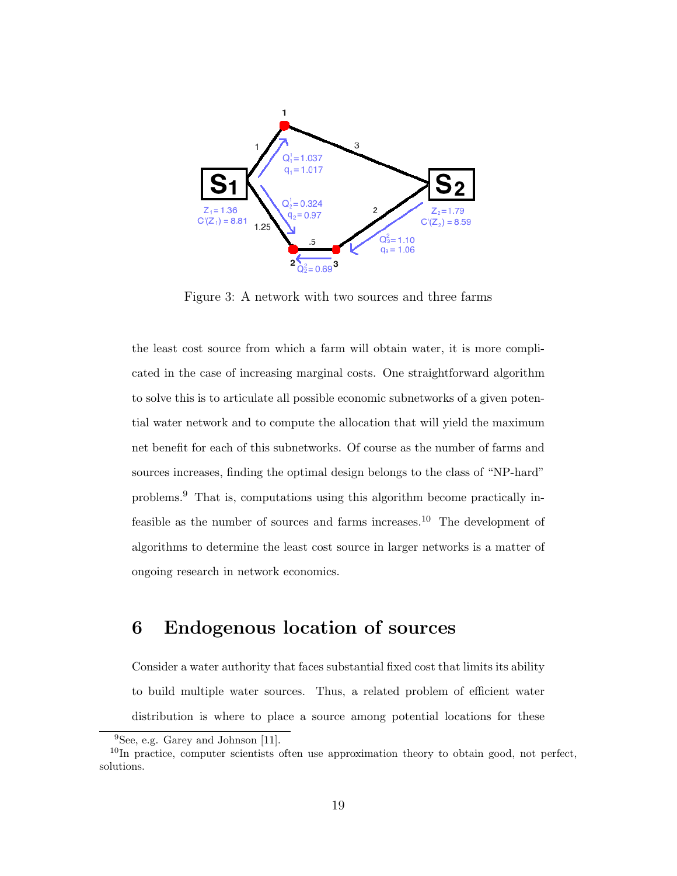

Figure 3: A network with two sources and three farms

the least cost source from which a farm will obtain water, it is more complicated in the case of increasing marginal costs. One straightforward algorithm to solve this is to articulate all possible economic subnetworks of a given potential water network and to compute the allocation that will yield the maximum net benefit for each of this subnetworks. Of course as the number of farms and sources increases, finding the optimal design belongs to the class of "NP-hard" problems.<sup>9</sup> That is, computations using this algorithm become practically infeasible as the number of sources and farms increases.<sup>10</sup> The development of algorithms to determine the least cost source in larger networks is a matter of ongoing research in network economics.

#### 6 Endogenous location of sources

Consider a water authority that faces substantial fixed cost that limits its ability to build multiple water sources. Thus, a related problem of efficient water distribution is where to place a source among potential locations for these

<sup>&</sup>lt;sup>9</sup>See, e.g. Garey and Johnson [11].

 $10$ In practice, computer scientists often use approximation theory to obtain good, not perfect, solutions.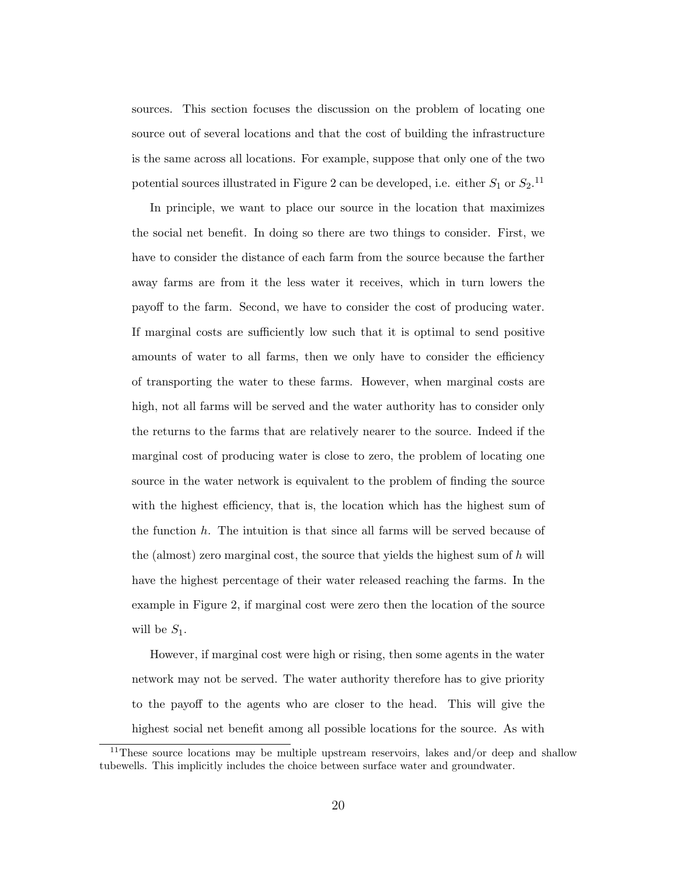sources. This section focuses the discussion on the problem of locating one source out of several locations and that the cost of building the infrastructure is the same across all locations. For example, suppose that only one of the two potential sources illustrated in Figure 2 can be developed, i.e. either  $S_1$  or  $S_2$ .<sup>11</sup>

In principle, we want to place our source in the location that maximizes the social net benefit. In doing so there are two things to consider. First, we have to consider the distance of each farm from the source because the farther away farms are from it the less water it receives, which in turn lowers the payoff to the farm. Second, we have to consider the cost of producing water. If marginal costs are sufficiently low such that it is optimal to send positive amounts of water to all farms, then we only have to consider the efficiency of transporting the water to these farms. However, when marginal costs are high, not all farms will be served and the water authority has to consider only the returns to the farms that are relatively nearer to the source. Indeed if the marginal cost of producing water is close to zero, the problem of locating one source in the water network is equivalent to the problem of finding the source with the highest efficiency, that is, the location which has the highest sum of the function  $h$ . The intuition is that since all farms will be served because of the (almost) zero marginal cost, the source that yields the highest sum of  $h$  will have the highest percentage of their water released reaching the farms. In the example in Figure 2, if marginal cost were zero then the location of the source will be  $S_1$ .

However, if marginal cost were high or rising, then some agents in the water network may not be served. The water authority therefore has to give priority to the payoff to the agents who are closer to the head. This will give the highest social net benefit among all possible locations for the source. As with

<sup>&</sup>lt;sup>11</sup>These source locations may be multiple upstream reservoirs, lakes and/or deep and shallow tubewells. This implicitly includes the choice between surface water and groundwater.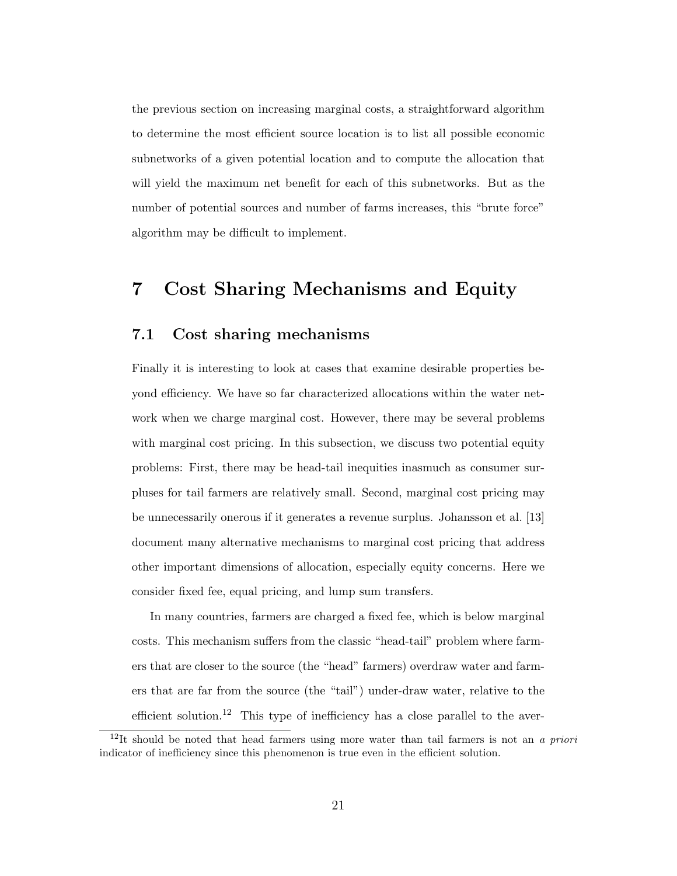the previous section on increasing marginal costs, a straightforward algorithm to determine the most efficient source location is to list all possible economic subnetworks of a given potential location and to compute the allocation that will yield the maximum net benefit for each of this subnetworks. But as the number of potential sources and number of farms increases, this "brute force" algorithm may be difficult to implement.

### 7 Cost Sharing Mechanisms and Equity

#### 7.1 Cost sharing mechanisms

Finally it is interesting to look at cases that examine desirable properties beyond efficiency. We have so far characterized allocations within the water network when we charge marginal cost. However, there may be several problems with marginal cost pricing. In this subsection, we discuss two potential equity problems: First, there may be head-tail inequities inasmuch as consumer surpluses for tail farmers are relatively small. Second, marginal cost pricing may be unnecessarily onerous if it generates a revenue surplus. Johansson et al. [13] document many alternative mechanisms to marginal cost pricing that address other important dimensions of allocation, especially equity concerns. Here we consider fixed fee, equal pricing, and lump sum transfers.

In many countries, farmers are charged a fixed fee, which is below marginal costs. This mechanism suffers from the classic "head-tail" problem where farmers that are closer to the source (the "head" farmers) overdraw water and farmers that are far from the source (the "tail") under-draw water, relative to the efficient solution.<sup>12</sup> This type of inefficiency has a close parallel to the aver-

<sup>&</sup>lt;sup>12</sup>It should be noted that head farmers using more water than tail farmers is not an *a priori* indicator of inefficiency since this phenomenon is true even in the efficient solution.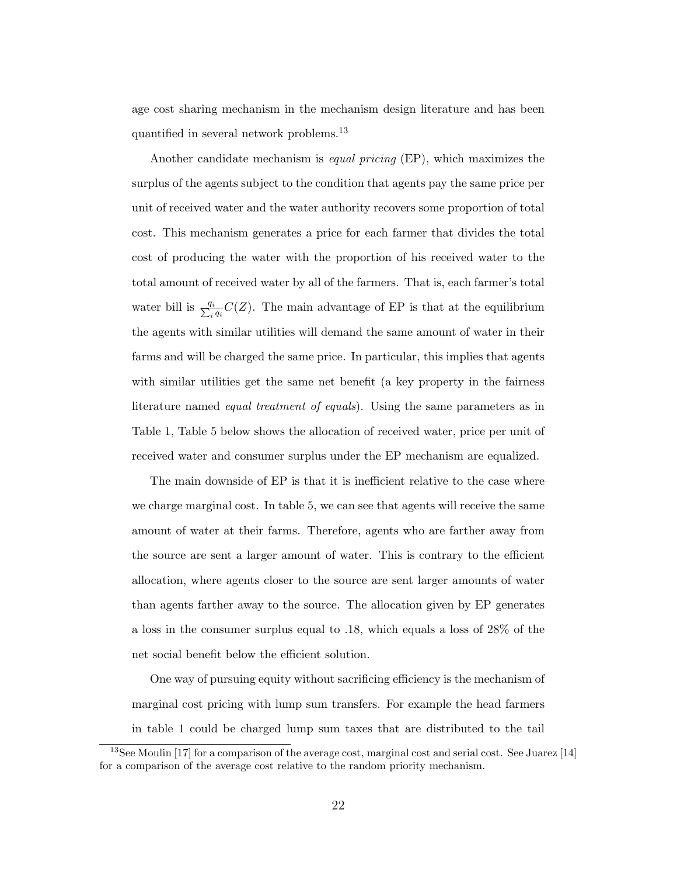age cost sharing mechanism in the mechanism design literature and has been quantified in several network problems.<sup>13</sup>

Another candidate mechanism is equal pricing (EP), which maximizes the surplus of the agents subject to the condition that agents pay the same price per unit of received water and the water authority recovers some proportion of total cost. This mechanism generates a price for each farmer that divides the total cost of producing the water with the proportion of his received water to the total amount of received water by all of the farmers. That is, each farmer's total water bill is  $\frac{q_i}{\sum_i}$  $\frac{q_i}{q_i q_i} C(Z)$ . The main advantage of EP is that at the equilibrium the agents with similar utilities will demand the same amount of water in their farms and will be charged the same price. In particular, this implies that agents with similar utilities get the same net benefit (a key property in the fairness literature named *equal treatment of equals*). Using the same parameters as in Table 1, Table 5 below shows the allocation of received water, price per unit of received water and consumer surplus under the EP mechanism are equalized.

The main downside of EP is that it is inefficient relative to the case where we charge marginal cost. In table 5, we can see that agents will receive the same amount of water at their farms. Therefore, agents who are farther away from the source are sent a larger amount of water. This is contrary to the efficient allocation, where agents closer to the source are sent larger amounts of water than agents farther away to the source. The allocation given by EP generates a loss in the consumer surplus equal to .18, which equals a loss of 28% of the net social benefit below the efficient solution.

One way of pursuing equity without sacrificing efficiency is the mechanism of marginal cost pricing with lump sum transfers. For example the head farmers in table 1 could be charged lump sum taxes that are distributed to the tail

<sup>13</sup>See Moulin [17] for a comparison of the average cost, marginal cost and serial cost. See Juarez [14] for a comparison of the average cost relative to the random priority mechanism.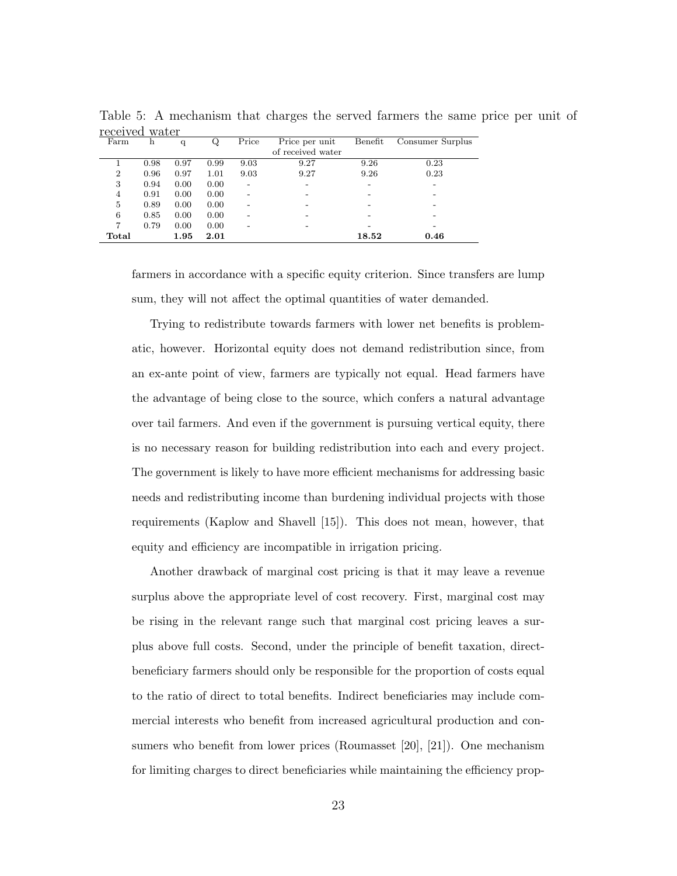| 10001 vou www. |      |      |      |       |                          |                      |                  |
|----------------|------|------|------|-------|--------------------------|----------------------|------------------|
| Farm           | h    | q    | Q    | Price | Price per unit           | Benefit              | Consumer Surplus |
|                |      |      |      |       | of received water        |                      |                  |
|                | 0.98 | 0.97 | 0.99 | 9.03  | 9.27                     | 9.26                 | 0.23             |
| $\overline{2}$ | 0.96 | 0.97 | 1.01 | 9.03  | 9.27                     | 9.26                 | 0.23             |
| 3              | 0.94 | 0.00 | 0.00 |       | $\overline{\phantom{a}}$ |                      |                  |
| 4              | 0.91 | 0.00 | 0.00 |       |                          |                      |                  |
| 5              | 0.89 | 0.00 | 0.00 |       |                          |                      |                  |
| 6              | 0.85 | 0.00 | 0.00 |       |                          |                      |                  |
| 7              | 0.79 | 0.00 | 0.00 |       |                          |                      |                  |
| Total          |      | 1.95 | 2.01 |       |                          | $\boldsymbol{18.52}$ | 0.46             |

Table 5: A mechanism that charges the served farmers the same price per unit of received water

farmers in accordance with a specific equity criterion. Since transfers are lump sum, they will not affect the optimal quantities of water demanded.

Trying to redistribute towards farmers with lower net benefits is problematic, however. Horizontal equity does not demand redistribution since, from an ex-ante point of view, farmers are typically not equal. Head farmers have the advantage of being close to the source, which confers a natural advantage over tail farmers. And even if the government is pursuing vertical equity, there is no necessary reason for building redistribution into each and every project. The government is likely to have more efficient mechanisms for addressing basic needs and redistributing income than burdening individual projects with those requirements (Kaplow and Shavell [15]). This does not mean, however, that equity and efficiency are incompatible in irrigation pricing.

Another drawback of marginal cost pricing is that it may leave a revenue surplus above the appropriate level of cost recovery. First, marginal cost may be rising in the relevant range such that marginal cost pricing leaves a surplus above full costs. Second, under the principle of benefit taxation, directbeneficiary farmers should only be responsible for the proportion of costs equal to the ratio of direct to total benefits. Indirect beneficiaries may include commercial interests who benefit from increased agricultural production and consumers who benefit from lower prices (Roumasset [20], [21]). One mechanism for limiting charges to direct beneficiaries while maintaining the efficiency prop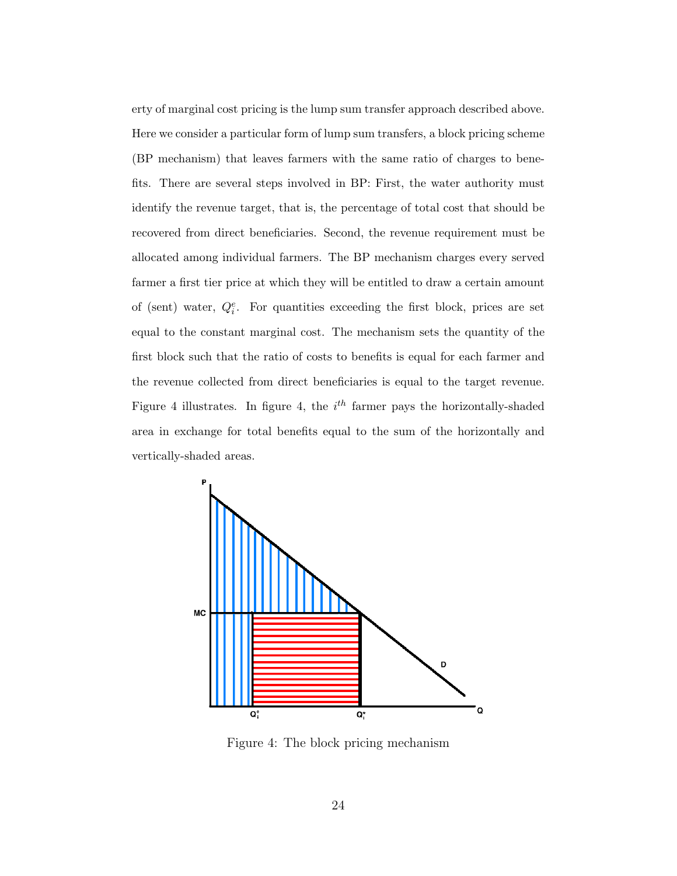erty of marginal cost pricing is the lump sum transfer approach described above. Here we consider a particular form of lump sum transfers, a block pricing scheme (BP mechanism) that leaves farmers with the same ratio of charges to benefits. There are several steps involved in BP: First, the water authority must identify the revenue target, that is, the percentage of total cost that should be recovered from direct beneficiaries. Second, the revenue requirement must be allocated among individual farmers. The BP mechanism charges every served farmer a first tier price at which they will be entitled to draw a certain amount of (sent) water,  $Q_i^e$ . For quantities exceeding the first block, prices are set equal to the constant marginal cost. The mechanism sets the quantity of the first block such that the ratio of costs to benefits is equal for each farmer and the revenue collected from direct beneficiaries is equal to the target revenue. Figure 4 illustrates. In figure 4, the  $i<sup>th</sup>$  farmer pays the horizontally-shaded area in exchange for total benefits equal to the sum of the horizontally and vertically-shaded areas.



Figure 4: The block pricing mechanism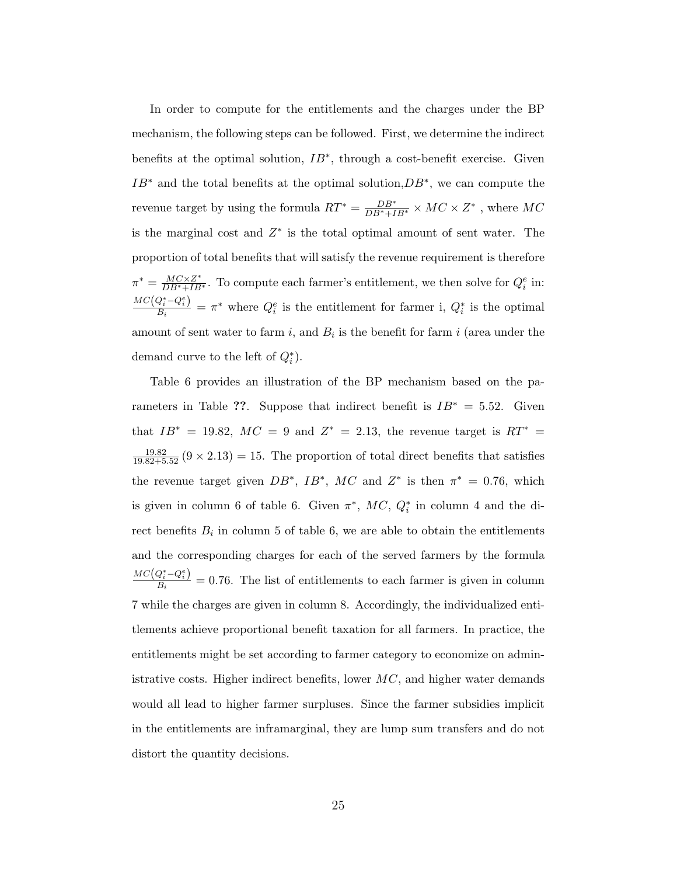In order to compute for the entitlements and the charges under the BP mechanism, the following steps can be followed. First, we determine the indirect benefits at the optimal solution,  $IB^*$ , through a cost-benefit exercise. Given  $IB^*$  and the total benefits at the optimal solution,  $DB^*$ , we can compute the revenue target by using the formula  $RT^* = \frac{DB^*}{DB^* + IB^*} \times MC \times Z^*$  , where  $MC$ is the marginal cost and  $Z^*$  is the total optimal amount of sent water. The proportion of total benefits that will satisfy the revenue requirement is therefore  $\pi^* = \frac{MC \times Z^*}{DB^* + IB^*}$ . To compute each farmer's entitlement, we then solve for  $Q_i^e$  in:  $MC(Q_i^*-Q_i^e)$  $\frac{Q_i^z - Q_i^z}{B_i} = \pi^*$  where  $Q_i^e$  is the entitlement for farmer i,  $Q_i^*$  is the optimal amount of sent water to farm  $i$ , and  $B_i$  is the benefit for farm  $i$  (area under the demand curve to the left of  $Q_i^*$ ).

Table 6 provides an illustration of the BP mechanism based on the parameters in Table ??. Suppose that indirect benefit is  $IB^* = 5.52$ . Given that  $IB^* = 19.82$ ,  $MC = 9$  and  $Z^* = 2.13$ , the revenue target is  $RT^* =$  $\frac{19.82}{19.82+5.52}$   $(9 \times 2.13) = 15$ . The proportion of total direct benefits that satisfies the revenue target given  $DB^*$ ,  $IB^*$ ,  $MC$  and  $Z^*$  is then  $\pi^* = 0.76$ , which is given in column 6 of table 6. Given  $\pi^*$ ,  $MC$ ,  $Q_i^*$  in column 4 and the direct benefits  $B_i$  in column 5 of table 6, we are able to obtain the entitlements and the corresponding charges for each of the served farmers by the formula  $MC(Q_i^*-Q_i^e)$  $\frac{\mathcal{L}_i - \mathcal{L}_i}{B_i} = 0.76$ . The list of entitlements to each farmer is given in column 7 while the charges are given in column 8. Accordingly, the individualized entitlements achieve proportional benefit taxation for all farmers. In practice, the entitlements might be set according to farmer category to economize on administrative costs. Higher indirect benefits, lower  $MC$ , and higher water demands would all lead to higher farmer surpluses. Since the farmer subsidies implicit in the entitlements are inframarginal, they are lump sum transfers and do not distort the quantity decisions.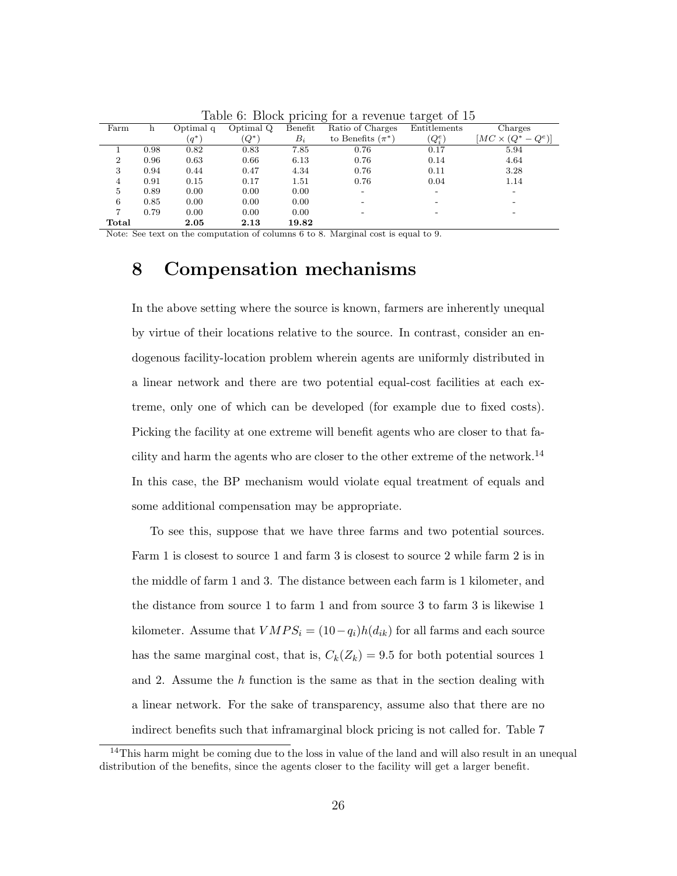|                |      |                       |                       |         | $\sim$                | $\sim$       |                               |
|----------------|------|-----------------------|-----------------------|---------|-----------------------|--------------|-------------------------------|
| Farm           | h    | Optimal q             | Optimal Q             | Benefit | Ratio of Charges      | Entitlements | Charges                       |
|                |      | $\langle q^* \rangle$ | $\langle Q^* \rangle$ | $B_i$   | to Benefits $(\pi^*)$ | $(Q_i^e)$    | $\lceil MC \rceil$<br>$Q^e$ ) |
|                | 0.98 | 0.82                  | 0.83                  | 7.85    | 0.76                  | 0.17         | 5.94                          |
| $\overline{2}$ | 0.96 | 0.63                  | 0.66                  | 6.13    | 0.76                  | 0.14         | 4.64                          |
| 3              | 0.94 | 0.44                  | 0.47                  | 4.34    | 0.76                  | 0.11         | 3.28                          |
| $\overline{4}$ | 0.91 | 0.15                  | 0.17                  | 1.51    | 0.76                  | 0.04         | 1.14                          |
| 5              | 0.89 | 0.00                  | 0.00                  | 0.00    |                       |              |                               |
| 6              | 0.85 | 0.00                  | 0.00                  | 0.00    |                       |              |                               |
| ⇁              | 0.79 | 0.00                  | 0.00                  | 0.00    |                       |              |                               |
| Total          |      | 2.05                  | 2.13                  | 19.82   |                       |              |                               |
|                |      |                       |                       |         |                       |              |                               |

Table 6: Block pricing for a revenue target of 15

Note: See text on the computation of columns 6 to 8. Marginal cost is equal to 9.

### 8 Compensation mechanisms

In the above setting where the source is known, farmers are inherently unequal by virtue of their locations relative to the source. In contrast, consider an endogenous facility-location problem wherein agents are uniformly distributed in a linear network and there are two potential equal-cost facilities at each extreme, only one of which can be developed (for example due to fixed costs). Picking the facility at one extreme will benefit agents who are closer to that facility and harm the agents who are closer to the other extreme of the network.<sup>14</sup> In this case, the BP mechanism would violate equal treatment of equals and some additional compensation may be appropriate.

To see this, suppose that we have three farms and two potential sources. Farm 1 is closest to source 1 and farm 3 is closest to source 2 while farm 2 is in the middle of farm 1 and 3. The distance between each farm is 1 kilometer, and the distance from source 1 to farm 1 and from source 3 to farm 3 is likewise 1 kilometer. Assume that  $VMPS_i = (10 - q_i)h(d_{ik})$  for all farms and each source has the same marginal cost, that is,  $C_k(Z_k) = 9.5$  for both potential sources 1 and 2. Assume the  $h$  function is the same as that in the section dealing with a linear network. For the sake of transparency, assume also that there are no indirect benefits such that inframarginal block pricing is not called for. Table 7

<sup>&</sup>lt;sup>14</sup>This harm might be coming due to the loss in value of the land and will also result in an unequal distribution of the benefits, since the agents closer to the facility will get a larger benefit.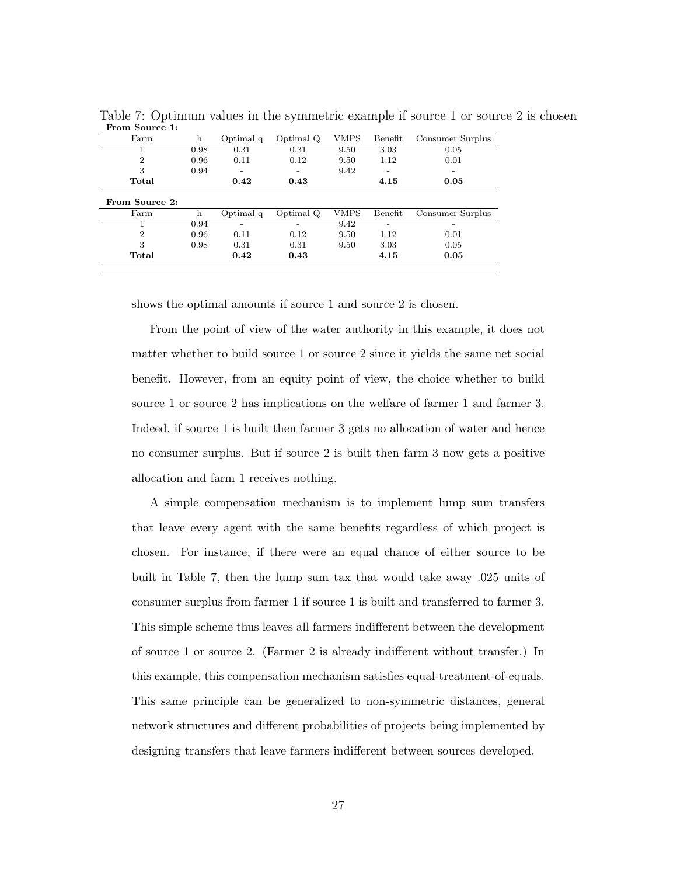| Farm           | h    | Optimal q                | Optimal Q | VMPS | Benefit                  | Consumer Surplus |
|----------------|------|--------------------------|-----------|------|--------------------------|------------------|
|                | 0.98 | 0.31                     | 0.31      | 9.50 | 3.03                     | 0.05             |
| 2              | 0.96 | 0.11                     | 0.12      | 9.50 | 1.12                     | 0.01             |
| 3              | 0.94 | $\overline{\phantom{a}}$ |           | 9.42 | $\overline{\phantom{a}}$ |                  |
| Total          |      | 0.42                     | 0.43      |      | 4.15                     | 0.05             |
| From Source 2: |      |                          |           |      |                          |                  |
| Farm           | h    | Optimal q                | Optimal Q | VMPS | Benefit                  | Consumer Surplus |
|                | 0.94 |                          |           | 9.42 |                          |                  |
| 2              | 0.96 | 0.11                     | 0.12      | 9.50 | 1.12                     | 0.01             |
| 3              | 0.98 | 0.31                     | 0.31      | 9.50 | 3.03                     | 0.05             |
| Total          |      | 0.42                     | 0.43      |      | 4.15                     | 0.05             |
|                |      |                          |           |      |                          |                  |

Table 7: Optimum values in the symmetric example if source 1 or source 2 is chosen From Source 1:

shows the optimal amounts if source 1 and source 2 is chosen.

From the point of view of the water authority in this example, it does not matter whether to build source 1 or source 2 since it yields the same net social benefit. However, from an equity point of view, the choice whether to build source 1 or source 2 has implications on the welfare of farmer 1 and farmer 3. Indeed, if source 1 is built then farmer 3 gets no allocation of water and hence no consumer surplus. But if source 2 is built then farm 3 now gets a positive allocation and farm 1 receives nothing.

A simple compensation mechanism is to implement lump sum transfers that leave every agent with the same benefits regardless of which project is chosen. For instance, if there were an equal chance of either source to be built in Table 7, then the lump sum tax that would take away .025 units of consumer surplus from farmer 1 if source 1 is built and transferred to farmer 3. This simple scheme thus leaves all farmers indifferent between the development of source 1 or source 2. (Farmer 2 is already indifferent without transfer.) In this example, this compensation mechanism satisfies equal-treatment-of-equals. This same principle can be generalized to non-symmetric distances, general network structures and different probabilities of projects being implemented by designing transfers that leave farmers indifferent between sources developed.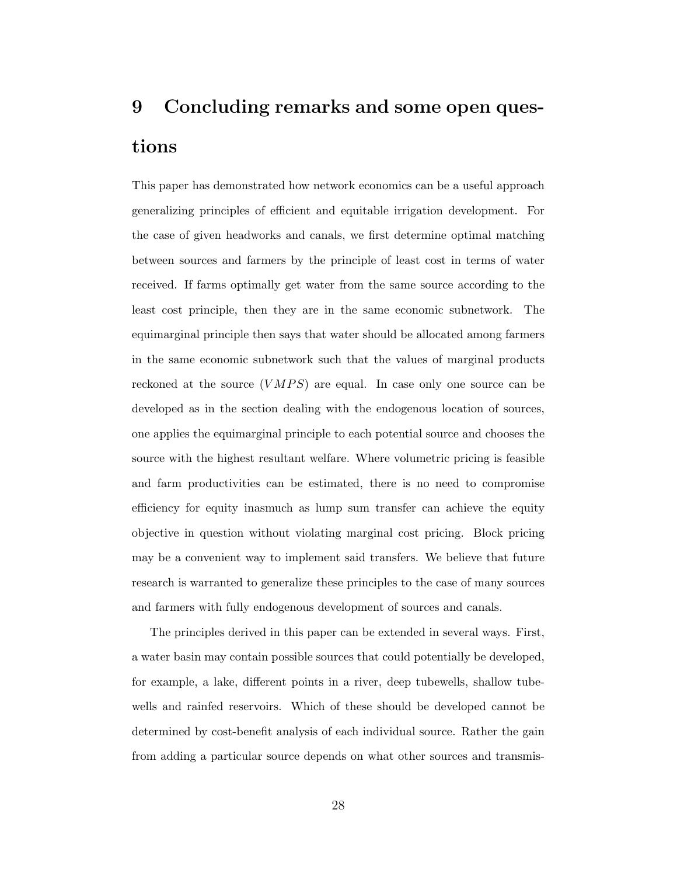# 9 Concluding remarks and some open questions

This paper has demonstrated how network economics can be a useful approach generalizing principles of efficient and equitable irrigation development. For the case of given headworks and canals, we first determine optimal matching between sources and farmers by the principle of least cost in terms of water received. If farms optimally get water from the same source according to the least cost principle, then they are in the same economic subnetwork. The equimarginal principle then says that water should be allocated among farmers in the same economic subnetwork such that the values of marginal products reckoned at the source  $(VMPS)$  are equal. In case only one source can be developed as in the section dealing with the endogenous location of sources, one applies the equimarginal principle to each potential source and chooses the source with the highest resultant welfare. Where volumetric pricing is feasible and farm productivities can be estimated, there is no need to compromise efficiency for equity inasmuch as lump sum transfer can achieve the equity objective in question without violating marginal cost pricing. Block pricing may be a convenient way to implement said transfers. We believe that future research is warranted to generalize these principles to the case of many sources and farmers with fully endogenous development of sources and canals.

The principles derived in this paper can be extended in several ways. First, a water basin may contain possible sources that could potentially be developed, for example, a lake, different points in a river, deep tubewells, shallow tubewells and rainfed reservoirs. Which of these should be developed cannot be determined by cost-benefit analysis of each individual source. Rather the gain from adding a particular source depends on what other sources and transmis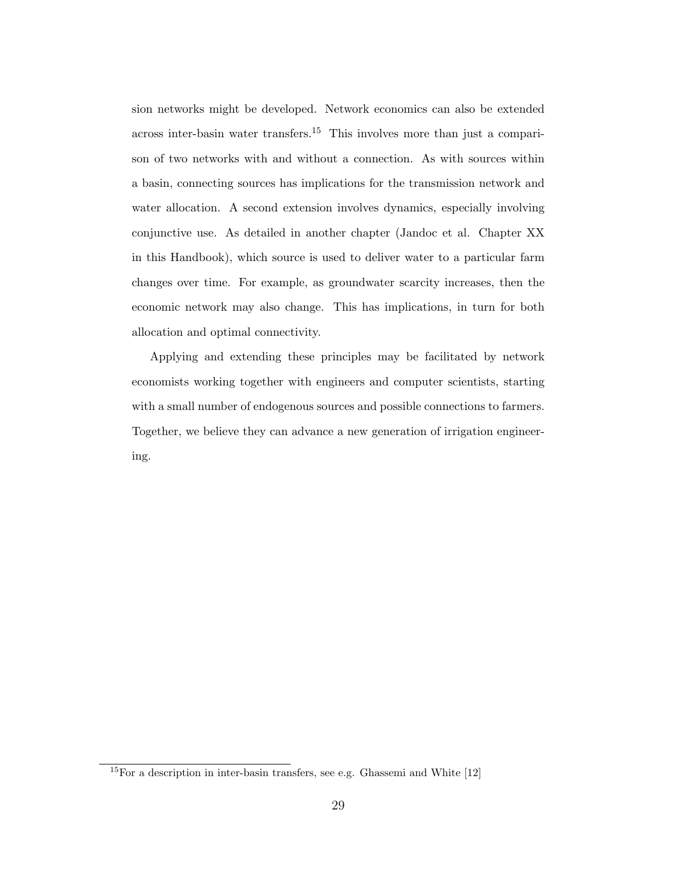sion networks might be developed. Network economics can also be extended across inter-basin water transfers.<sup>15</sup> This involves more than just a comparison of two networks with and without a connection. As with sources within a basin, connecting sources has implications for the transmission network and water allocation. A second extension involves dynamics, especially involving conjunctive use. As detailed in another chapter (Jandoc et al. Chapter XX in this Handbook), which source is used to deliver water to a particular farm changes over time. For example, as groundwater scarcity increases, then the economic network may also change. This has implications, in turn for both allocation and optimal connectivity.

Applying and extending these principles may be facilitated by network economists working together with engineers and computer scientists, starting with a small number of endogenous sources and possible connections to farmers. Together, we believe they can advance a new generation of irrigation engineering.

 $15$  For a description in inter-basin transfers, see e.g. Ghassemi and White  $[12]$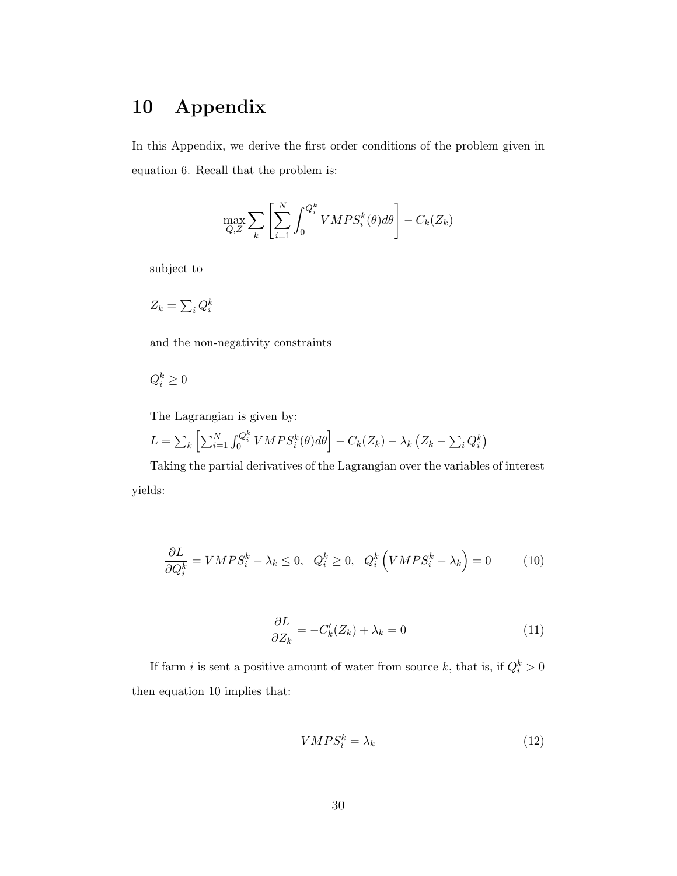# 10 Appendix

In this Appendix, we derive the first order conditions of the problem given in equation 6. Recall that the problem is:

$$
\max_{Q,Z} \sum_{k} \left[ \sum_{i=1}^{N} \int_{0}^{Q_i^k} VMPS_i^k(\theta) d\theta \right] - C_k(Z_k)
$$

subject to

$$
Z_k = \sum_i Q_i^k
$$

and the non-negativity constraints

 $Q_i^k \geq 0$ 

The Lagrangian is given by:

$$
L = \sum_{k} \left[ \sum_{i=1}^{N} \int_{0}^{Q_i^k} VMPS_i^k(\theta) d\theta \right] - C_k(Z_k) - \lambda_k (Z_k - \sum_{i} Q_i^k)
$$

Taking the partial derivatives of the Lagrangian over the variables of interest yields:

$$
\frac{\partial L}{\partial Q_i^k} = VMPS_i^k - \lambda_k \le 0, \quad Q_i^k \ge 0, \quad Q_i^k \left( VMPS_i^k - \lambda_k \right) = 0 \tag{10}
$$

$$
\frac{\partial L}{\partial Z_k} = -C'_k(Z_k) + \lambda_k = 0\tag{11}
$$

If farm *i* is sent a positive amount of water from source k, that is, if  $Q_i^k > 0$ then equation 10 implies that:

$$
VMPS_i^k = \lambda_k \tag{12}
$$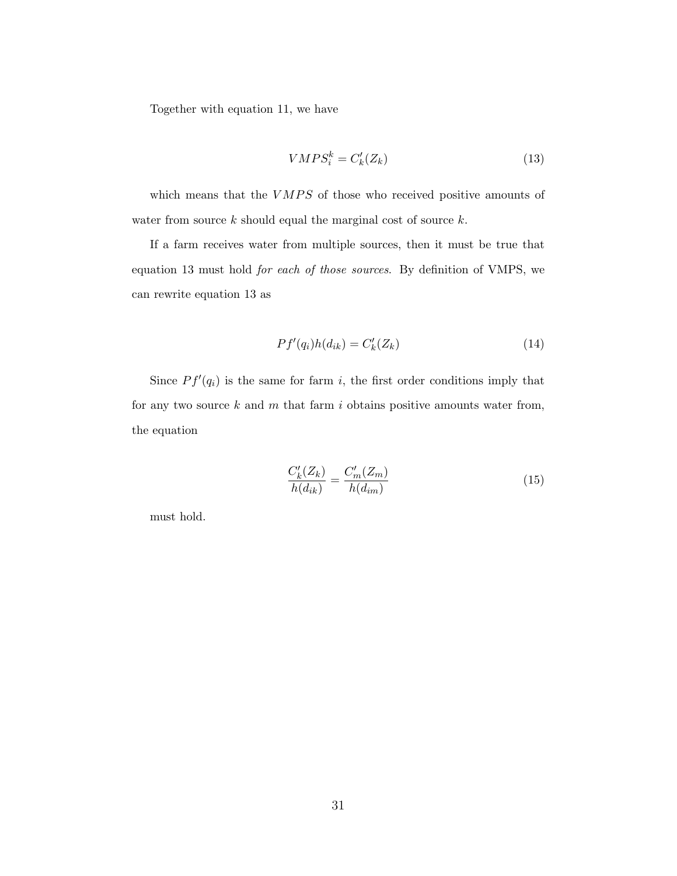Together with equation 11, we have

$$
VMPS_i^k = C_k'(Z_k)
$$
\n<sup>(13)</sup>

which means that the  $VMPS$  of those who received positive amounts of water from source  $k$  should equal the marginal cost of source  $k$ .

If a farm receives water from multiple sources, then it must be true that equation 13 must hold for each of those sources. By definition of VMPS, we can rewrite equation 13 as

$$
Pf'(q_i)h(d_{ik}) = C'_k(Z_k)
$$
\n<sup>(14)</sup>

Since  $Pf'(q_i)$  is the same for farm i, the first order conditions imply that for any two source  $k$  and  $m$  that farm  $i$  obtains positive amounts water from, the equation

$$
\frac{C'_k(Z_k)}{h(d_{ik})} = \frac{C'_m(Z_m)}{h(d_{im})}
$$
\n(15)

must hold.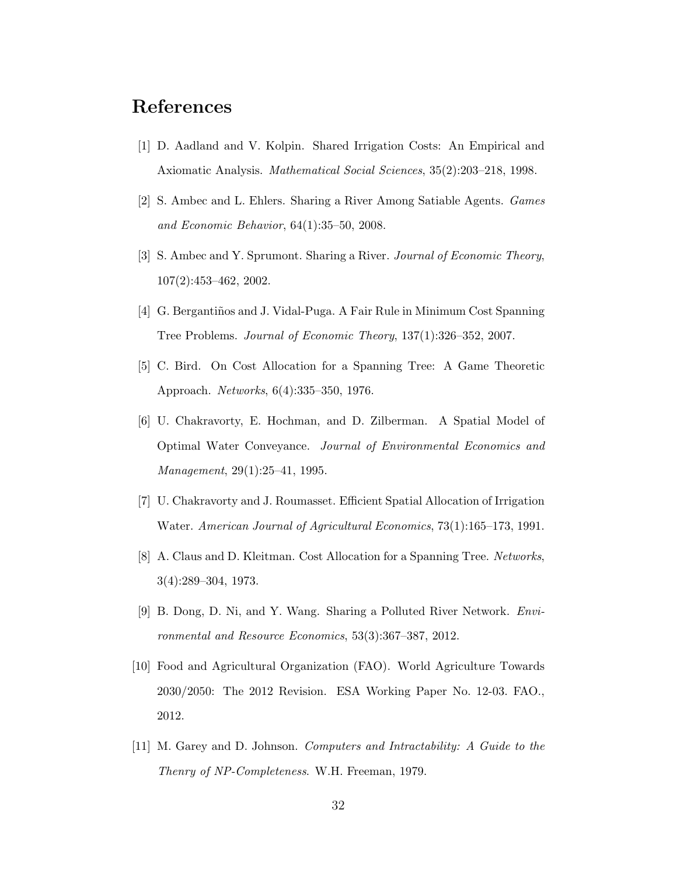## References

- [1] D. Aadland and V. Kolpin. Shared Irrigation Costs: An Empirical and Axiomatic Analysis. Mathematical Social Sciences, 35(2):203–218, 1998.
- [2] S. Ambec and L. Ehlers. Sharing a River Among Satiable Agents. Games and Economic Behavior, 64(1):35–50, 2008.
- [3] S. Ambec and Y. Sprumont. Sharing a River. Journal of Economic Theory, 107(2):453–462, 2002.
- [4] G. Bergantiños and J. Vidal-Puga. A Fair Rule in Minimum Cost Spanning Tree Problems. Journal of Economic Theory, 137(1):326–352, 2007.
- [5] C. Bird. On Cost Allocation for a Spanning Tree: A Game Theoretic Approach. Networks, 6(4):335–350, 1976.
- [6] U. Chakravorty, E. Hochman, and D. Zilberman. A Spatial Model of Optimal Water Conveyance. Journal of Environmental Economics and Management, 29(1):25–41, 1995.
- [7] U. Chakravorty and J. Roumasset. Efficient Spatial Allocation of Irrigation Water. American Journal of Agricultural Economics, 73(1):165–173, 1991.
- [8] A. Claus and D. Kleitman. Cost Allocation for a Spanning Tree. Networks, 3(4):289–304, 1973.
- [9] B. Dong, D. Ni, and Y. Wang. Sharing a Polluted River Network. Environmental and Resource Economics, 53(3):367–387, 2012.
- [10] Food and Agricultural Organization (FAO). World Agriculture Towards 2030/2050: The 2012 Revision. ESA Working Paper No. 12-03. FAO., 2012.
- [11] M. Garey and D. Johnson. Computers and Intractability: A Guide to the Thenry of NP-Completeness. W.H. Freeman, 1979.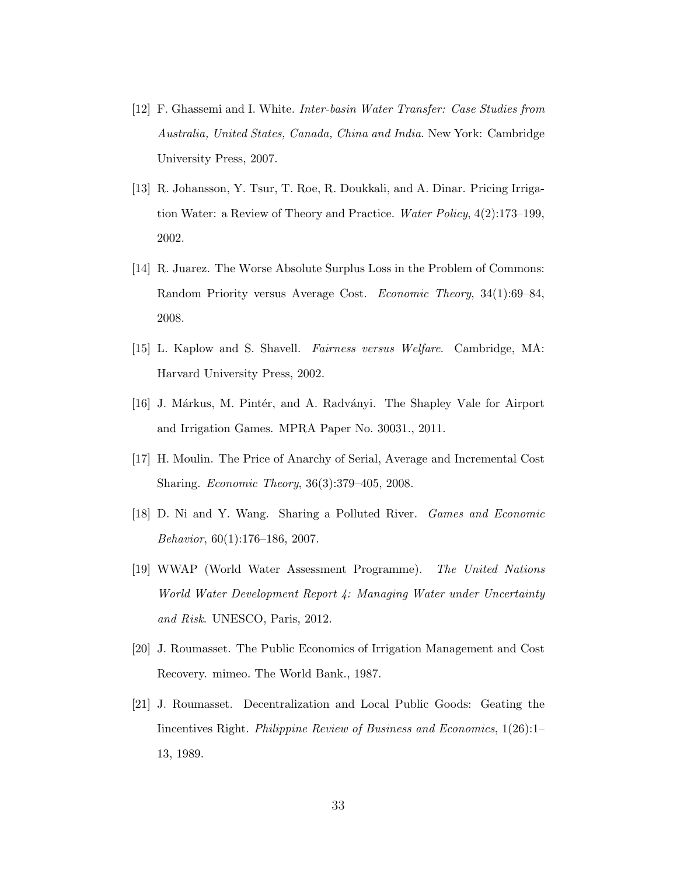- [12] F. Ghassemi and I. White. Inter-basin Water Transfer: Case Studies from Australia, United States, Canada, China and India. New York: Cambridge University Press, 2007.
- [13] R. Johansson, Y. Tsur, T. Roe, R. Doukkali, and A. Dinar. Pricing Irrigation Water: a Review of Theory and Practice. Water Policy, 4(2):173–199, 2002.
- [14] R. Juarez. The Worse Absolute Surplus Loss in the Problem of Commons: Random Priority versus Average Cost. Economic Theory, 34(1):69–84, 2008.
- [15] L. Kaplow and S. Shavell. Fairness versus Welfare. Cambridge, MA: Harvard University Press, 2002.
- [16] J. Márkus, M. Pintér, and A. Radványi. The Shapley Vale for Airport and Irrigation Games. MPRA Paper No. 30031., 2011.
- [17] H. Moulin. The Price of Anarchy of Serial, Average and Incremental Cost Sharing. Economic Theory, 36(3):379–405, 2008.
- [18] D. Ni and Y. Wang. Sharing a Polluted River. Games and Economic Behavior, 60(1):176–186, 2007.
- [19] WWAP (World Water Assessment Programme). The United Nations World Water Development Report 4: Managing Water under Uncertainty and Risk. UNESCO, Paris, 2012.
- [20] J. Roumasset. The Public Economics of Irrigation Management and Cost Recovery. mimeo. The World Bank., 1987.
- [21] J. Roumasset. Decentralization and Local Public Goods: Geating the Iincentives Right. Philippine Review of Business and Economics, 1(26):1– 13, 1989.